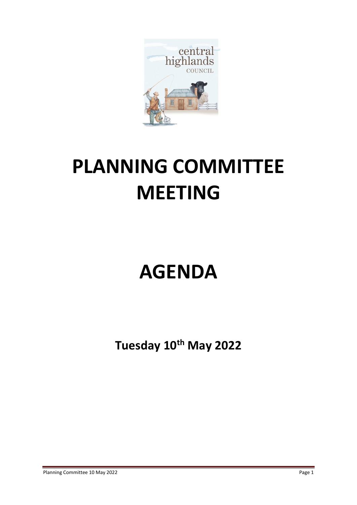

# **PLANNING COMMITTEE MEETING**

## **AGENDA**

**Tuesday 10th May 2022**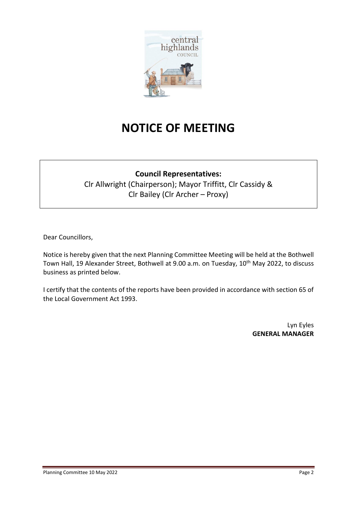

## **NOTICE OF MEETING**

### **Council Representatives:**

Clr Allwright (Chairperson); Mayor Triffitt, Clr Cassidy & Clr Bailey (Clr Archer – Proxy)

Dear Councillors,

Notice is hereby given that the next Planning Committee Meeting will be held at the Bothwell Town Hall, 19 Alexander Street, Bothwell at 9.00 a.m. on Tuesday, 10<sup>th</sup> May 2022, to discuss business as printed below.

I certify that the contents of the reports have been provided in accordance with section 65 of the Local Government Act 1993.

> Lyn Eyles **GENERAL MANAGER**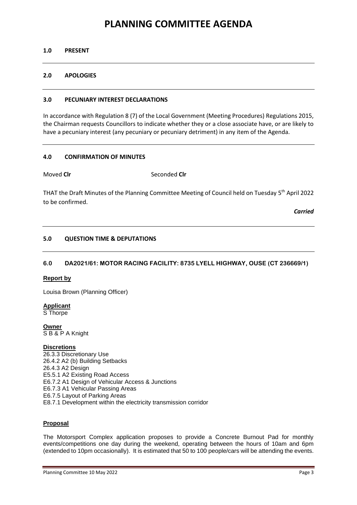### **PLANNING COMMITTEE AGENDA**

#### **1.0 PRESENT**

#### **2.0 APOLOGIES**

#### **3.0 PECUNIARY INTEREST DECLARATIONS**

In accordance with Regulation 8 (7) of the Local Government (Meeting Procedures) Regulations 2015, the Chairman requests Councillors to indicate whether they or a close associate have, or are likely to have a pecuniary interest (any pecuniary or pecuniary detriment) in any item of the Agenda.

#### **4.0 CONFIRMATION OF MINUTES**

Moved **Cir** Seconded **Cir** 

THAT the Draft Minutes of the Planning Committee Meeting of Council held on Tuesday 5<sup>th</sup> April 2022 to be confirmed.

*Carried*

#### **5.0 QUESTION TIME & DEPUTATIONS**

#### **6.0 DA2021/61: MOTOR RACING FACILITY: 8735 LYELL HIGHWAY, OUSE (CT 236669/1)**

#### **Report by**

Louisa Brown (Planning Officer)

**Applicant**  S Thorpe

**Owner**  S B & P A Knight

#### **Discretions**

26.3.3 Discretionary Use 26.4.2 A2 (b) Building Setbacks 26.4.3 A2 Design E5.5.1 A2 Existing Road Access E6.7.2 A1 Design of Vehicular Access & Junctions E6.7.3 A1 Vehicular Passing Areas E6.7.5 Layout of Parking Areas E8.7.1 Development within the electricity transmission corridor

#### **Proposal**

The Motorsport Complex application proposes to provide a Concrete Burnout Pad for monthly events/competitions one day during the weekend, operating between the hours of 10am and 6pm (extended to 10pm occasionally). It is estimated that 50 to 100 people/cars will be attending the events.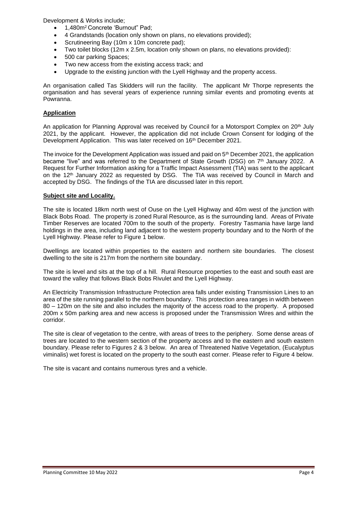Development & Works include;

- 1,480m<sup>2</sup>Concrete 'Burnout" Pad;
- 4 Grandstands (location only shown on plans, no elevations provided);
- Scrutineering Bay (10m x 10m concrete pad);
- Two toilet blocks (12m x 2.5m, location only shown on plans, no elevations provided):
- 500 car parking Spaces;
- Two new access from the existing access track; and
- Upgrade to the existing junction with the Lyell Highway and the property access.

An organisation called Tas Skidders will run the facility. The applicant Mr Thorpe represents the organisation and has several years of experience running similar events and promoting events at Powranna.

#### **Application**

An application for Planning Approval was received by Council for a Motorsport Complex on 20<sup>th</sup> July 2021, by the applicant. However, the application did not include Crown Consent for lodging of the Development Application. This was later received on 16<sup>th</sup> December 2021.

The invoice for the Development Application was issued and paid on 5<sup>th</sup> December 2021, the application became "live" and was referred to the Department of State Growth (DSG) on 7th January 2022. A Request for Further Information asking for a Traffic Impact Assessment (TIA) was sent to the applicant on the 12<sup>th</sup> January 2022 as requested by DSG. The TIA was received by Council in March and accepted by DSG. The findings of the TIA are discussed later in this report.

#### **Subject site and Locality.**

The site is located 18km north west of Ouse on the Lyell Highway and 40m west of the junction with Black Bobs Road. The property is zoned Rural Resource, as is the surrounding land. Areas of Private Timber Reserves are located 700m to the south of the property. Forestry Tasmania have large land holdings in the area, including land adjacent to the western property boundary and to the North of the Lyell Highway. Please refer to Figure 1 below.

Dwellings are located within properties to the eastern and northern site boundaries. The closest dwelling to the site is 217m from the northern site boundary.

The site is level and sits at the top of a hill. Rural Resource properties to the east and south east are toward the valley that follows Black Bobs Rivulet and the Lyell Highway.

An Electricity Transmission Infrastructure Protection area falls under existing Transmission Lines to an area of the site running parallel to the northern boundary. This protection area ranges in width between 80 – 120m on the site and also includes the majority of the access road to the property. A proposed 200m x 50m parking area and new access is proposed under the Transmission Wires and within the corridor.

The site is clear of vegetation to the centre, with areas of trees to the periphery. Some dense areas of trees are located to the western section of the property access and to the eastern and south eastern boundary. Please refer to Figures 2 & 3 below. An area of Threatened Native Vegetation, (Eucalyptus viminalis) wet forest is located on the property to the south east corner. Please refer to Figure 4 below.

The site is vacant and contains numerous tyres and a vehicle.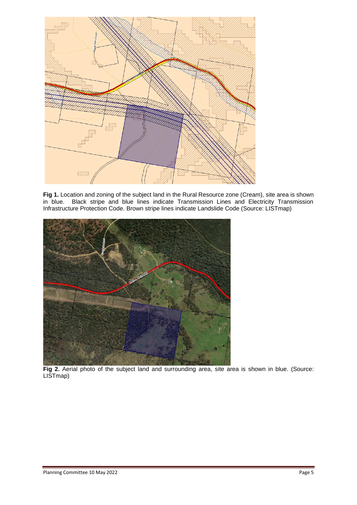

**Fig 1.** Location and zoning of the subject land in the Rural Resource zone (Cream), site area is shown in blue. Black stripe and blue lines indicate Transmission Lines and Electricity Transmission Infrastructure Protection Code. Brown stripe lines indicate Landslide Code (Source: LISTmap)



Fig 2. Aerial photo of the subject land and surrounding area, site area is shown in blue. (Source: LISTmap)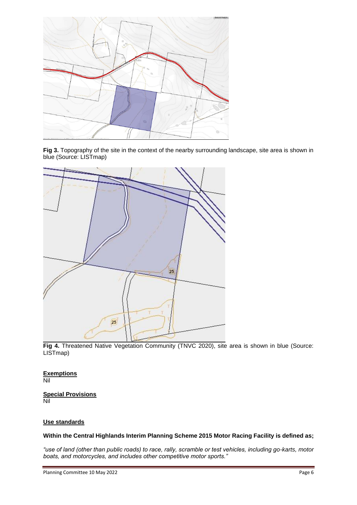

Fig 3. Topography of the site in the context of the nearby surrounding landscape, site area is shown in blue (Source: LISTmap)



**Fig 4.** Threatened Native Vegetation Community (TNVC 2020), site area is shown in blue (Source: LISTmap)

#### **Exemptions** Nil

**Special Provisions** Nil

#### **Use standards**

**Within the Central Highlands Interim Planning Scheme 2015 Motor Racing Facility is defined as;**

*"use of land (other than public roads) to race, rally, scramble or test vehicles, including go-karts, motor boats, and motorcycles, and includes other competitive motor sports."*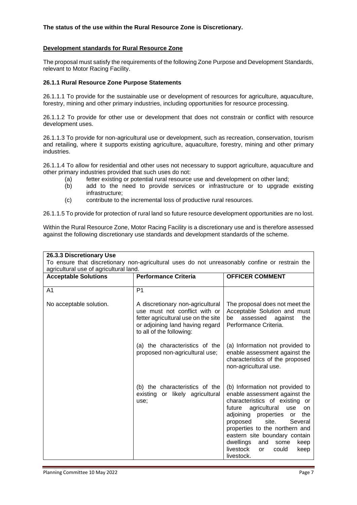#### **The status of the use within the Rural Resource Zone is Discretionary.**

#### **Development standards for Rural Resource Zone**

The proposal must satisfy the requirements of the following Zone Purpose and Development Standards, relevant to Motor Racing Facility.

#### **26.1.1 Rural Resource Zone Purpose Statements**

26.1.1.1 To provide for the sustainable use or development of resources for agriculture, aquaculture, forestry, mining and other primary industries, including opportunities for resource processing.

26.1.1.2 To provide for other use or development that does not constrain or conflict with resource development uses.

26.1.1.3 To provide for non-agricultural use or development, such as recreation, conservation, tourism and retailing, where it supports existing agriculture, aquaculture, forestry, mining and other primary industries.

26.1.1.4 To allow for residential and other uses not necessary to support agriculture, aquaculture and other primary industries provided that such uses do not:

- (a) fetter existing or potential rural resource use and development on other land;
- (b) add to the need to provide services or infrastructure or to upgrade existing infrastructure;
- (c) contribute to the incremental loss of productive rural resources.

26.1.1.5 To provide for protection of rural land so future resource development opportunities are no lost.

Within the Rural Resource Zone, Motor Racing Facility is a discretionary use and is therefore assessed against the following discretionary use standards and development standards of the scheme.

| 26.3.3 Discretionary Use<br>To ensure that discretionary non-agricultural uses do not unreasonably confine or restrain the<br>agricultural use of agricultural land. |                                                                                                                                                                         |                                                                                                                                                                                                                                                                                                                                                                                |  |
|----------------------------------------------------------------------------------------------------------------------------------------------------------------------|-------------------------------------------------------------------------------------------------------------------------------------------------------------------------|--------------------------------------------------------------------------------------------------------------------------------------------------------------------------------------------------------------------------------------------------------------------------------------------------------------------------------------------------------------------------------|--|
| <b>Acceptable Solutions</b>                                                                                                                                          | <b>Performance Criteria</b>                                                                                                                                             | <b>OFFICER COMMENT</b>                                                                                                                                                                                                                                                                                                                                                         |  |
| A1                                                                                                                                                                   | P <sub>1</sub>                                                                                                                                                          |                                                                                                                                                                                                                                                                                                                                                                                |  |
| No acceptable solution.                                                                                                                                              | A discretionary non-agricultural<br>use must not conflict with or<br>fetter agricultural use on the site<br>or adjoining land having regard<br>to all of the following: | The proposal does not meet the<br>Acceptable Solution and must<br>assessed<br>the<br>be<br>against<br>Performance Criteria.                                                                                                                                                                                                                                                    |  |
|                                                                                                                                                                      | (a) the characteristics of the<br>proposed non-agricultural use;                                                                                                        | (a) Information not provided to<br>enable assessment against the<br>characteristics of the proposed<br>non-agricultural use.                                                                                                                                                                                                                                                   |  |
|                                                                                                                                                                      | (b) the characteristics of the<br>existing<br>or likely agricultural<br>use:                                                                                            | (b) Information not provided to<br>enable assessment against the<br>characteristics of existing or<br>agricultural<br>future<br>use<br>on<br>adjoining properties<br>the<br>or<br>site.<br>Several<br>proposed<br>properties to the northern and<br>eastern site boundary contain<br>dwellings<br>and<br>some<br>keep<br>livestock<br>could<br>keep<br><b>or</b><br>livestock. |  |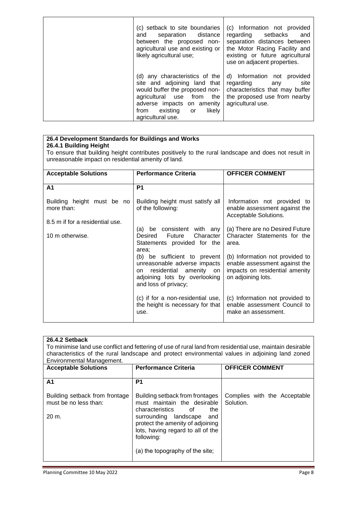| (c) setback to site boundaries<br>separation distance<br>and<br>between the proposed non-<br>agricultural use and existing or<br>likely agricultural use;                                                               | (c) Information not provided<br>regarding setbacks<br>and<br>separation distances between<br>the Motor Racing Facility and<br>existing or future agricultural<br>use on adjacent properties. |
|-------------------------------------------------------------------------------------------------------------------------------------------------------------------------------------------------------------------------|----------------------------------------------------------------------------------------------------------------------------------------------------------------------------------------------|
| (d) any characteristics of the<br>site and adjoining land that<br>would buffer the proposed non-<br>the<br>agricultural use from<br>adverse impacts on amenity<br>likely<br>existing<br>from<br>or<br>agricultural use. | d) Information not provided<br>site<br>regarding<br>anv<br>characteristics that may buffer<br>the proposed use from nearby<br>agricultural use.                                              |

#### **26.4 Development Standards for Buildings and Works**

#### **26.4.1 Building Height**

To ensure that building height contributes positively to the rural landscape and does not result in unreasonable impact on residential amenity of land.

| <b>Acceptable Solutions</b>              | <b>Performance Criteria</b>                                                                                                                            | <b>OFFICER COMMENT</b>                                                                                                   |
|------------------------------------------|--------------------------------------------------------------------------------------------------------------------------------------------------------|--------------------------------------------------------------------------------------------------------------------------|
| A1                                       | P1                                                                                                                                                     |                                                                                                                          |
| Building height must be no<br>more than: | Building height must satisfy all<br>of the following:                                                                                                  | Information not provided to<br>enable assessment against the<br>Acceptable Solutions.                                    |
| 8.5 m if for a residential use.          |                                                                                                                                                        |                                                                                                                          |
| 10 m otherwise.                          | (a) be consistent with any<br>Future<br>Character  <br>Desired<br>Statements provided for the<br>area:                                                 | (a) There are no Desired Future<br>Character Statements for the<br>area.                                                 |
|                                          | (b) be sufficient to prevent<br>unreasonable adverse impacts<br>residential amenity on<br>on.<br>adjoining lots by overlooking<br>and loss of privacy; | (b) Information not provided to<br>enable assessment against the<br>impacts on residential amenity<br>on adjoining lots. |
|                                          | (c) if for a non-residential use,<br>the height is necessary for that<br>use.                                                                          | (c) Information not provided to<br>enable assessment Council to<br>make an assessment.                                   |

| 26.4.2 Setback<br>To minimise land use conflict and fettering of use of rural land from residential use, maintain desirable<br>characteristics of the rural landscape and protect environmental values in adjoining land zoned<br>Environmental Management. |                                                                                                                     |                                           |
|-------------------------------------------------------------------------------------------------------------------------------------------------------------------------------------------------------------------------------------------------------------|---------------------------------------------------------------------------------------------------------------------|-------------------------------------------|
| <b>Acceptable Solutions</b>                                                                                                                                                                                                                                 | <b>Performance Criteria</b>                                                                                         | <b>OFFICER COMMENT</b>                    |
|                                                                                                                                                                                                                                                             |                                                                                                                     |                                           |
| A1                                                                                                                                                                                                                                                          | P <sub>1</sub>                                                                                                      |                                           |
| Building setback from frontage<br>must be no less than:                                                                                                                                                                                                     | Building setback from frontages<br>must maintain the desirable                                                      | Complies with the Acceptable<br>Solution. |
|                                                                                                                                                                                                                                                             | characteristics of<br>the.                                                                                          |                                           |
| 20 m.                                                                                                                                                                                                                                                       | surrounding landscape<br>and<br>protect the amenity of adjoining<br>lots, having regard to all of the<br>following: |                                           |
|                                                                                                                                                                                                                                                             | (a) the topography of the site;                                                                                     |                                           |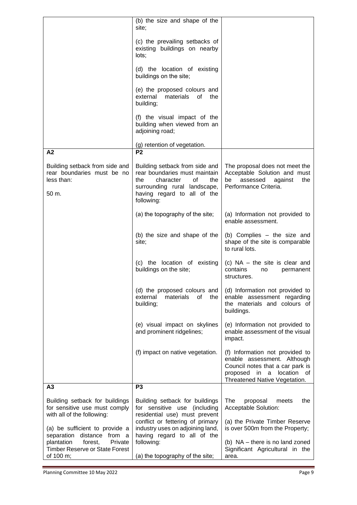| (c) the prevailing setbacks of<br>existing buildings on nearby<br>lots;<br>(d) the location of existing<br>buildings on the site;<br>(e) the proposed colours and<br>external<br>materials<br>of<br>the<br>building;<br>(f) the visual impact of the<br>building when viewed from an<br>adjoining road;<br>(g) retention of vegetation.<br>P <sub>2</sub><br>A2<br>Building setback from side and<br>Building setback from side and<br>The proposal does not meet the<br>Acceptable Solution and must<br>rear boundaries must be no<br>rear boundaries must maintain<br>assessed<br>less than:<br>the<br>character<br>of<br>the<br>be<br>against<br>the<br>Performance Criteria.<br>surrounding rural landscape,<br>having regard to all of the<br>50 m.<br>following:<br>(a) the topography of the site;<br>(a) Information not provided to<br>enable assessment.<br>(b) the size and shape of the<br>(b) Complies – the size and<br>shape of the site is comparable<br>site;<br>to rural lots.<br>(c) the location of existing<br>(c) $NA$ – the site is clear and<br>buildings on the site;<br>contains<br>no<br>permanent<br>structures.<br>(d) Information not provided to<br>(d) the proposed colours and<br>materials<br>external<br>οf<br>the<br>enable assessment regarding<br>the materials and colours of<br>building;<br>buildings.<br>(e) visual impact on skylines<br>(e) Information not provided to<br>and prominent ridgelines;<br>enable assessment of the visual<br>impact.<br>(f) Information not provided to<br>(f) impact on native vegetation.<br>enable assessment. Although<br>Council notes that a car park is<br>proposed<br>in a<br>location<br>0f<br>Threatened Native Vegetation.<br>P <sub>3</sub><br>A <sub>3</sub><br>Building setback for buildings<br>Building setback for buildings<br>The<br>the<br>proposal<br>meets<br>Acceptable Solution:<br>for sensitive use must comply<br>for sensitive use (including<br>residential use) must prevent<br>with all of the following:<br>conflict or fettering of primary<br>(a) the Private Timber Reserve |                                | (b) the size and shape of the<br>site; |                                 |
|------------------------------------------------------------------------------------------------------------------------------------------------------------------------------------------------------------------------------------------------------------------------------------------------------------------------------------------------------------------------------------------------------------------------------------------------------------------------------------------------------------------------------------------------------------------------------------------------------------------------------------------------------------------------------------------------------------------------------------------------------------------------------------------------------------------------------------------------------------------------------------------------------------------------------------------------------------------------------------------------------------------------------------------------------------------------------------------------------------------------------------------------------------------------------------------------------------------------------------------------------------------------------------------------------------------------------------------------------------------------------------------------------------------------------------------------------------------------------------------------------------------------------------------------------------------------------------------------------------------------------------------------------------------------------------------------------------------------------------------------------------------------------------------------------------------------------------------------------------------------------------------------------------------------------------------------------------------------------------------------------------------------------------------------------------------------------------------|--------------------------------|----------------------------------------|---------------------------------|
|                                                                                                                                                                                                                                                                                                                                                                                                                                                                                                                                                                                                                                                                                                                                                                                                                                                                                                                                                                                                                                                                                                                                                                                                                                                                                                                                                                                                                                                                                                                                                                                                                                                                                                                                                                                                                                                                                                                                                                                                                                                                                          |                                |                                        |                                 |
|                                                                                                                                                                                                                                                                                                                                                                                                                                                                                                                                                                                                                                                                                                                                                                                                                                                                                                                                                                                                                                                                                                                                                                                                                                                                                                                                                                                                                                                                                                                                                                                                                                                                                                                                                                                                                                                                                                                                                                                                                                                                                          |                                |                                        |                                 |
|                                                                                                                                                                                                                                                                                                                                                                                                                                                                                                                                                                                                                                                                                                                                                                                                                                                                                                                                                                                                                                                                                                                                                                                                                                                                                                                                                                                                                                                                                                                                                                                                                                                                                                                                                                                                                                                                                                                                                                                                                                                                                          |                                |                                        |                                 |
|                                                                                                                                                                                                                                                                                                                                                                                                                                                                                                                                                                                                                                                                                                                                                                                                                                                                                                                                                                                                                                                                                                                                                                                                                                                                                                                                                                                                                                                                                                                                                                                                                                                                                                                                                                                                                                                                                                                                                                                                                                                                                          |                                |                                        |                                 |
|                                                                                                                                                                                                                                                                                                                                                                                                                                                                                                                                                                                                                                                                                                                                                                                                                                                                                                                                                                                                                                                                                                                                                                                                                                                                                                                                                                                                                                                                                                                                                                                                                                                                                                                                                                                                                                                                                                                                                                                                                                                                                          |                                |                                        |                                 |
|                                                                                                                                                                                                                                                                                                                                                                                                                                                                                                                                                                                                                                                                                                                                                                                                                                                                                                                                                                                                                                                                                                                                                                                                                                                                                                                                                                                                                                                                                                                                                                                                                                                                                                                                                                                                                                                                                                                                                                                                                                                                                          |                                |                                        |                                 |
|                                                                                                                                                                                                                                                                                                                                                                                                                                                                                                                                                                                                                                                                                                                                                                                                                                                                                                                                                                                                                                                                                                                                                                                                                                                                                                                                                                                                                                                                                                                                                                                                                                                                                                                                                                                                                                                                                                                                                                                                                                                                                          |                                |                                        |                                 |
|                                                                                                                                                                                                                                                                                                                                                                                                                                                                                                                                                                                                                                                                                                                                                                                                                                                                                                                                                                                                                                                                                                                                                                                                                                                                                                                                                                                                                                                                                                                                                                                                                                                                                                                                                                                                                                                                                                                                                                                                                                                                                          |                                |                                        |                                 |
|                                                                                                                                                                                                                                                                                                                                                                                                                                                                                                                                                                                                                                                                                                                                                                                                                                                                                                                                                                                                                                                                                                                                                                                                                                                                                                                                                                                                                                                                                                                                                                                                                                                                                                                                                                                                                                                                                                                                                                                                                                                                                          |                                |                                        |                                 |
|                                                                                                                                                                                                                                                                                                                                                                                                                                                                                                                                                                                                                                                                                                                                                                                                                                                                                                                                                                                                                                                                                                                                                                                                                                                                                                                                                                                                                                                                                                                                                                                                                                                                                                                                                                                                                                                                                                                                                                                                                                                                                          |                                |                                        |                                 |
|                                                                                                                                                                                                                                                                                                                                                                                                                                                                                                                                                                                                                                                                                                                                                                                                                                                                                                                                                                                                                                                                                                                                                                                                                                                                                                                                                                                                                                                                                                                                                                                                                                                                                                                                                                                                                                                                                                                                                                                                                                                                                          |                                |                                        |                                 |
|                                                                                                                                                                                                                                                                                                                                                                                                                                                                                                                                                                                                                                                                                                                                                                                                                                                                                                                                                                                                                                                                                                                                                                                                                                                                                                                                                                                                                                                                                                                                                                                                                                                                                                                                                                                                                                                                                                                                                                                                                                                                                          |                                |                                        |                                 |
|                                                                                                                                                                                                                                                                                                                                                                                                                                                                                                                                                                                                                                                                                                                                                                                                                                                                                                                                                                                                                                                                                                                                                                                                                                                                                                                                                                                                                                                                                                                                                                                                                                                                                                                                                                                                                                                                                                                                                                                                                                                                                          |                                |                                        |                                 |
|                                                                                                                                                                                                                                                                                                                                                                                                                                                                                                                                                                                                                                                                                                                                                                                                                                                                                                                                                                                                                                                                                                                                                                                                                                                                                                                                                                                                                                                                                                                                                                                                                                                                                                                                                                                                                                                                                                                                                                                                                                                                                          |                                |                                        |                                 |
|                                                                                                                                                                                                                                                                                                                                                                                                                                                                                                                                                                                                                                                                                                                                                                                                                                                                                                                                                                                                                                                                                                                                                                                                                                                                                                                                                                                                                                                                                                                                                                                                                                                                                                                                                                                                                                                                                                                                                                                                                                                                                          |                                |                                        |                                 |
|                                                                                                                                                                                                                                                                                                                                                                                                                                                                                                                                                                                                                                                                                                                                                                                                                                                                                                                                                                                                                                                                                                                                                                                                                                                                                                                                                                                                                                                                                                                                                                                                                                                                                                                                                                                                                                                                                                                                                                                                                                                                                          |                                |                                        |                                 |
| having regard to all of the<br>separation distance from a                                                                                                                                                                                                                                                                                                                                                                                                                                                                                                                                                                                                                                                                                                                                                                                                                                                                                                                                                                                                                                                                                                                                                                                                                                                                                                                                                                                                                                                                                                                                                                                                                                                                                                                                                                                                                                                                                                                                                                                                                                | (a) be sufficient to provide a | industry uses on adjoining land,       | is over 500m from the Property; |
| following:<br>plantation<br>forest,<br>Private<br>(b) NA - there is no land zoned<br><b>Timber Reserve or State Forest</b><br>Significant Agricultural in the<br>of 100 m;<br>(a) the topography of the site;<br>area.                                                                                                                                                                                                                                                                                                                                                                                                                                                                                                                                                                                                                                                                                                                                                                                                                                                                                                                                                                                                                                                                                                                                                                                                                                                                                                                                                                                                                                                                                                                                                                                                                                                                                                                                                                                                                                                                   |                                |                                        |                                 |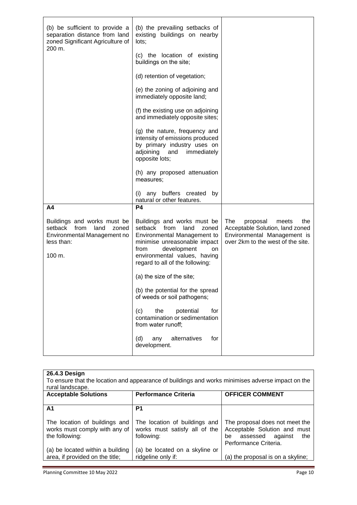| (b) be sufficient to provide a<br>separation distance from land<br>zoned Significant Agriculture of<br>200 m.                          | (b) the prevailing setbacks of<br>existing buildings on nearby<br>lots;<br>(c) the location of existing<br>buildings on the site;<br>(d) retention of vegetation;<br>(e) the zoning of adjoining and<br>immediately opposite land;<br>(f) the existing use on adjoining<br>and immediately opposite sites;<br>(g) the nature, frequency and<br>intensity of emissions produced<br>by primary industry uses on<br>adjoining and<br>immediately<br>opposite lots;<br>(h) any proposed attenuation<br>measures; |                                                                                                                                        |
|----------------------------------------------------------------------------------------------------------------------------------------|--------------------------------------------------------------------------------------------------------------------------------------------------------------------------------------------------------------------------------------------------------------------------------------------------------------------------------------------------------------------------------------------------------------------------------------------------------------------------------------------------------------|----------------------------------------------------------------------------------------------------------------------------------------|
|                                                                                                                                        | any buffers created<br>(i)<br>by<br>natural or other features.<br><b>P4</b>                                                                                                                                                                                                                                                                                                                                                                                                                                  |                                                                                                                                        |
| A4<br>Buildings and works must be<br>setback from<br>land<br>zoned<br>Environmental Management no<br>less than:<br>$100 \; \text{m}$ . | Buildings and works must be<br>setback from land<br>zoned<br>Environmental Management to<br>minimise unreasonable impact<br>development<br>from<br>on<br>environmental values, having<br>regard to all of the following:                                                                                                                                                                                                                                                                                     | The<br>proposal<br>meets<br>the<br>Acceptable Solution, land zoned<br>Environmental Management is<br>over 2km to the west of the site. |
|                                                                                                                                        | (a) the size of the site;                                                                                                                                                                                                                                                                                                                                                                                                                                                                                    |                                                                                                                                        |
|                                                                                                                                        | (b) the potential for the spread<br>of weeds or soil pathogens;<br>potential<br>the<br>(c)<br>for<br>contamination or sedimentation<br>from water runoff;<br>alternatives<br>(d)<br>any<br>for<br>development.                                                                                                                                                                                                                                                                                               |                                                                                                                                        |

| 26.4.3 Design<br>To ensure that the location and appearance of buildings and works minimises adverse impact on the<br>rural landscape. |                                                                              |                                                                                                                          |  |
|----------------------------------------------------------------------------------------------------------------------------------------|------------------------------------------------------------------------------|--------------------------------------------------------------------------------------------------------------------------|--|
| <b>Acceptable Solutions</b>                                                                                                            | <b>Performance Criteria</b>                                                  | <b>OFFICER COMMENT</b>                                                                                                   |  |
|                                                                                                                                        |                                                                              |                                                                                                                          |  |
| A1                                                                                                                                     | P1                                                                           |                                                                                                                          |  |
| The location of buildings and<br>works must comply with any of<br>the following:                                                       | The location of buildings and<br>works must satisfy all of the<br>following: | The proposal does not meet the<br>Acceptable Solution and must<br>assessed against<br>the<br>be<br>Performance Criteria. |  |
| (a) be located within a building<br>area, if provided on the title;                                                                    | (a) be located on a skyline or<br>ridgeline only if:                         | (a) the proposal is on a skyline;                                                                                        |  |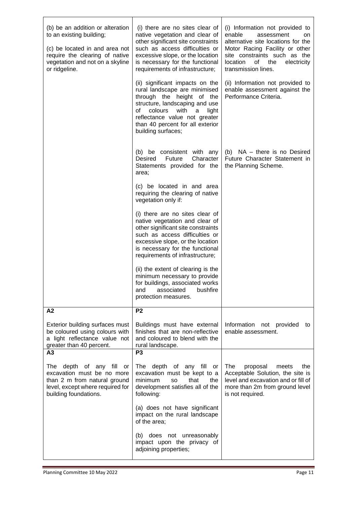| (b) be an addition or alteration<br>to an existing building;<br>(c) be located in and area not<br>require the clearing of native<br>vegetation and not on a skyline<br>or ridgeline. | (i) there are no sites clear of<br>native vegetation and clear of<br>other significant site constraints<br>such as access difficulties or<br>excessive slope, or the location<br>is necessary for the functional<br>requirements of infrastructure;<br>(ii) significant impacts on the<br>rural landscape are minimised<br>through the height of the<br>structure, landscaping and use<br>colours<br>with<br>of<br>a<br>light<br>reflectance value not greater<br>than 40 percent for all exterior | (i) Information not provided to<br>enable<br>assessment<br>on<br>alternative site locations for the<br>Motor Racing Facility or other<br>site constraints such as the<br>location<br>οf<br>the<br>electricity<br>transmission lines.<br>(ii) Information not provided to<br>enable assessment against the<br>Performance Criteria. |
|--------------------------------------------------------------------------------------------------------------------------------------------------------------------------------------|----------------------------------------------------------------------------------------------------------------------------------------------------------------------------------------------------------------------------------------------------------------------------------------------------------------------------------------------------------------------------------------------------------------------------------------------------------------------------------------------------|------------------------------------------------------------------------------------------------------------------------------------------------------------------------------------------------------------------------------------------------------------------------------------------------------------------------------------|
|                                                                                                                                                                                      | building surfaces;<br>(b) be consistent with any<br>Desired<br>Character<br>Future<br>Statements provided for the<br>area;<br>(c) be located in and area<br>requiring the clearing of native<br>vegetation only if:<br>(i) there are no sites clear of<br>native vegetation and clear of<br>other significant site constraints<br>such as access difficulties or<br>excessive slope, or the location                                                                                               | (b) NA - there is no Desired<br>Future Character Statement in<br>the Planning Scheme.                                                                                                                                                                                                                                              |
|                                                                                                                                                                                      | is necessary for the functional<br>requirements of infrastructure;<br>(ii) the extent of clearing is the<br>minimum necessary to provide<br>for buildings, associated works<br>associated<br>bushfire<br>and<br>protection measures.                                                                                                                                                                                                                                                               |                                                                                                                                                                                                                                                                                                                                    |
| A <sub>2</sub><br>Exterior building surfaces must<br>be coloured using colours with<br>a light reflectance value not<br>greater than 40 percent.                                     | P <sub>2</sub><br>Buildings must have external<br>finishes that are non-reflective<br>and coloured to blend with the<br>rural landscape.                                                                                                                                                                                                                                                                                                                                                           | Information<br>not provided<br>to<br>enable assessment.                                                                                                                                                                                                                                                                            |
| A3<br>The depth of any fill<br>or<br>excavation must be no more<br>than 2 m from natural ground<br>level, except where required for<br>building foundations.                         | P <sub>3</sub><br>The depth of any fill or<br>excavation must be kept to a<br>minimum<br>that<br><b>SO</b><br>the<br>development satisfies all of the<br>following:<br>(a) does not have significant                                                                                                                                                                                                                                                                                               | The<br>proposal<br>meets<br>the<br>Acceptable Solution, the site is<br>level and excavation and or fill of<br>more than 2m from ground level<br>is not required.                                                                                                                                                                   |
|                                                                                                                                                                                      | impact on the rural landscape<br>of the area;<br>(b) does not unreasonably<br>impact upon the privacy of<br>adjoining properties;                                                                                                                                                                                                                                                                                                                                                                  |                                                                                                                                                                                                                                                                                                                                    |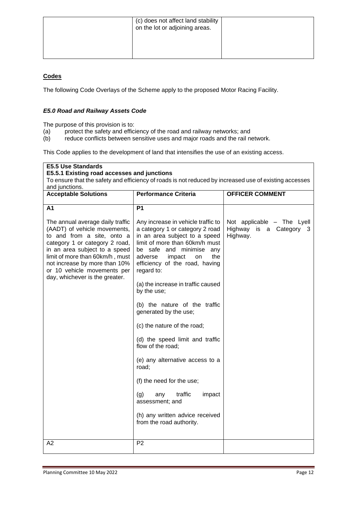#### **Codes**

The following Code Overlays of the Scheme apply to the proposed Motor Racing Facility.

#### *E5.0 Road and Railway Assets Code*

The purpose of this provision is to:

- (a) protect the safety and efficiency of the road and railway networks; and
- (b) reduce conflicts between sensitive uses and major roads and the rail network.

This Code applies to the development of land that intensifies the use of an existing access.

#### **E5.5 Use Standards E5.5.1 Existing road accesses and junctions** To ensure that the safety and efficiency of roads is not reduced by increased use of existing accesses and junctions. **Acceptable Solutions Performance Criteria OFFICER COMMENT A1** The annual average daily traffic (AADT) of vehicle movements, to and from a site, onto a category 1 or category 2 road, in an area subject to a speed limit of more than 60km/h , must not increase by more than 10% or 10 vehicle movements per day, whichever is the greater. **P1**  Any increase in vehicle traffic to a category 1 or category 2 road in an area subject to a speed limit of more than 60km/h must be safe and minimise any<br>adverse impact on the adverse impact on the efficiency of the road, having regard to: (a) the increase in traffic caused by the use; (b) the nature of the traffic generated by the use; (c) the nature of the road; (d) the speed limit and traffic flow of the road; (e) any alternative access to a road; (f) the need for the use; (g) any traffic impact assessment; and (h) any written advice received from the road authority. Not applicable – The Lyell Highway is a Category 3 Highway. A2 P2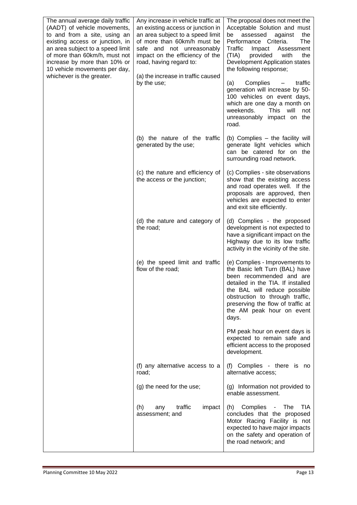| The annual average daily traffic<br>(AADT) of vehicle movements,<br>to and from a site, using an<br>existing access or junction, in<br>an area subject to a speed limit<br>of more than 60km/h, must not<br>increase by more than 10% or<br>10 vehicle movements per day,<br>whichever is the greater. | Any increase in vehicle traffic at<br>an existing access or junction in<br>an area subject to a speed limit<br>of more than 60km/h must be<br>safe and not unreasonably<br>impact on the efficiency of the<br>road, having regard to:<br>(a) the increase in traffic caused<br>by the use; | The proposal does not meet the<br>Acceptable Solution and must<br>assessed<br>the<br>be<br>against<br>Performance Criteria.<br>The<br>Traffic<br>Assessment<br>Impact<br>(TIA)<br>provided<br>with<br>the<br>Development Application states<br>the following response;<br>(a)<br>Complies<br>traffic<br>$\overline{\phantom{m}}$<br>generation will increase by 50-<br>100 vehicles on event days,<br>which are one day a month on<br>weekends.<br><b>This</b><br>will<br>not<br>unreasonably impact on the<br>road. |
|--------------------------------------------------------------------------------------------------------------------------------------------------------------------------------------------------------------------------------------------------------------------------------------------------------|--------------------------------------------------------------------------------------------------------------------------------------------------------------------------------------------------------------------------------------------------------------------------------------------|----------------------------------------------------------------------------------------------------------------------------------------------------------------------------------------------------------------------------------------------------------------------------------------------------------------------------------------------------------------------------------------------------------------------------------------------------------------------------------------------------------------------|
|                                                                                                                                                                                                                                                                                                        | (b) the nature of the traffic<br>generated by the use;                                                                                                                                                                                                                                     | (b) Complies - the facility will<br>generate light vehicles which<br>can be catered for on the<br>surrounding road network.                                                                                                                                                                                                                                                                                                                                                                                          |
|                                                                                                                                                                                                                                                                                                        | (c) the nature and efficiency of<br>the access or the junction;                                                                                                                                                                                                                            | (c) Complies - site observations<br>show that the existing access<br>and road operates well. If the<br>proposals are approved, then<br>vehicles are expected to enter<br>and exit site efficiently.                                                                                                                                                                                                                                                                                                                  |
|                                                                                                                                                                                                                                                                                                        | (d) the nature and category of<br>the road;                                                                                                                                                                                                                                                | (d) Complies - the proposed<br>development is not expected to<br>have a significant impact on the<br>Highway due to its low traffic<br>activity in the vicinity of the site.                                                                                                                                                                                                                                                                                                                                         |
|                                                                                                                                                                                                                                                                                                        | (e) the speed limit and traffic<br>flow of the road;                                                                                                                                                                                                                                       | (e) Complies - Improvements to<br>the Basic left Turn (BAL) have<br>been recommended and are<br>detailed in the TIA. If installed<br>the BAL will reduce possible<br>obstruction to through traffic,<br>preserving the flow of traffic at<br>the AM peak hour on event<br>days.                                                                                                                                                                                                                                      |
|                                                                                                                                                                                                                                                                                                        |                                                                                                                                                                                                                                                                                            | PM peak hour on event days is<br>expected to remain safe and<br>efficient access to the proposed<br>development.                                                                                                                                                                                                                                                                                                                                                                                                     |
|                                                                                                                                                                                                                                                                                                        | (f) any alternative access to a<br>road;                                                                                                                                                                                                                                                   | (f) Complies - there is no<br>alternative access;                                                                                                                                                                                                                                                                                                                                                                                                                                                                    |
|                                                                                                                                                                                                                                                                                                        | (g) the need for the use;                                                                                                                                                                                                                                                                  | (g) Information not provided to<br>enable assessment.                                                                                                                                                                                                                                                                                                                                                                                                                                                                |
|                                                                                                                                                                                                                                                                                                        | traffic<br>impact<br>(h)<br>any<br>assessment; and                                                                                                                                                                                                                                         | (h) Complies<br>TIA<br>The<br>$\overline{\phantom{0}}$<br>concludes that the proposed<br>Motor Racing Facility is not<br>expected to have major impacts<br>on the safety and operation of<br>the road network; and                                                                                                                                                                                                                                                                                                   |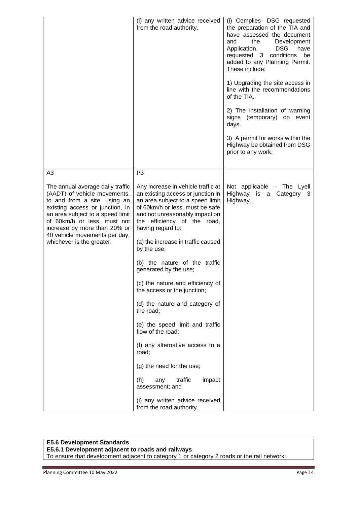|                                                                                                                                                                                                                                                                                                      | (i) any written advice received<br>from the road authority.                                                                                                                                                                                                                                                                                                                                                                                                                                                                                                                                                                                                  | (i) Complies- DSG requested<br>the preparation of the TIA and<br>have assessed the document<br>the<br>Development<br>and<br><b>DSG</b><br>have<br>Application.<br>requested 3 conditions<br>be<br>added to any Planning Permit.<br>These include:<br>1) Upgrading the site access in<br>line with the recommendations<br>of the TIA.<br>2) The installation of warning<br>signs (temporary) on event<br>days.<br>3) A permit for works within the<br>Highway be obtained from DSG<br>prior to any work. |
|------------------------------------------------------------------------------------------------------------------------------------------------------------------------------------------------------------------------------------------------------------------------------------------------------|--------------------------------------------------------------------------------------------------------------------------------------------------------------------------------------------------------------------------------------------------------------------------------------------------------------------------------------------------------------------------------------------------------------------------------------------------------------------------------------------------------------------------------------------------------------------------------------------------------------------------------------------------------------|---------------------------------------------------------------------------------------------------------------------------------------------------------------------------------------------------------------------------------------------------------------------------------------------------------------------------------------------------------------------------------------------------------------------------------------------------------------------------------------------------------|
| A <sub>3</sub>                                                                                                                                                                                                                                                                                       | P <sub>3</sub>                                                                                                                                                                                                                                                                                                                                                                                                                                                                                                                                                                                                                                               |                                                                                                                                                                                                                                                                                                                                                                                                                                                                                                         |
| The annual average daily traffic<br>(AADT) of vehicle movements,<br>to and from a site, using an<br>existing access or junction, in<br>an area subject to a speed limit<br>of 60km/h or less, must not<br>increase by more than 20% or<br>40 vehicle movements per day,<br>whichever is the greater. | Any increase in vehicle traffic at<br>an existing access or junction in<br>an area subject to a speed limit<br>of 60km/h or less, must be safe<br>and not unreasonably impact on<br>the efficiency of the road,<br>having regard to:<br>(a) the increase in traffic caused<br>by the use;<br>(b) the nature of the traffic<br>generated by the use;<br>(c) the nature and efficiency of<br>the access or the junction;<br>(d) the nature and category of<br>the road;<br>(e) the speed limit and traffic<br>flow of the road;<br>(f) any alternative access to a<br>road;<br>(g) the need for the use;<br>(h)<br>traffic<br>any<br>impact<br>assessment; and | Not applicable - The Lyell<br>Highway is a Category 3<br>Highway.                                                                                                                                                                                                                                                                                                                                                                                                                                       |
|                                                                                                                                                                                                                                                                                                      | (i) any written advice received<br>from the road authority.                                                                                                                                                                                                                                                                                                                                                                                                                                                                                                                                                                                                  |                                                                                                                                                                                                                                                                                                                                                                                                                                                                                                         |

#### **E5.6 Development Standards**

#### **E5.6.1 Development adjacent to roads and railways**

To ensure that development adjacent to category 1 or category 2 roads or the rail network: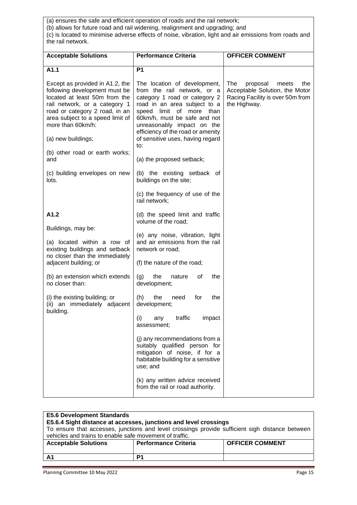(a) ensures the safe and efficient operation of roads and the rail network;

(b) allows for future road and rail widening, realignment and upgrading; and (c) is located to minimise adverse effects of noise, vibration, light and air emissions from roads and the rail network.

| <b>Acceptable Solutions</b>                                                                                                                                                                                                   | <b>Performance Criteria</b>                                                                                                                                                                                                                                    | <b>OFFICER COMMENT</b>                                                                                                |
|-------------------------------------------------------------------------------------------------------------------------------------------------------------------------------------------------------------------------------|----------------------------------------------------------------------------------------------------------------------------------------------------------------------------------------------------------------------------------------------------------------|-----------------------------------------------------------------------------------------------------------------------|
| A1.1                                                                                                                                                                                                                          | P <sub>1</sub>                                                                                                                                                                                                                                                 |                                                                                                                       |
| Except as provided in A1.2, the<br>following development must be<br>located at least 50m from the<br>rail network, or a category 1<br>road or category 2 road, in an<br>area subject to a speed limit of<br>more than 60km/h: | The location of development,<br>from the rail network, or a<br>category 1 road or category 2<br>road in an area subject to a<br>limit of more than<br>speed<br>60km/h, must be safe and not<br>unreasonably impact on the<br>efficiency of the road or amenity | The<br>proposal<br>meets<br>the<br>Acceptable Solution, the Motor<br>Racing Facility is over 50m from<br>the Highway. |
| (a) new buildings;                                                                                                                                                                                                            | of sensitive uses, having regard<br>to:                                                                                                                                                                                                                        |                                                                                                                       |
| (b) other road or earth works;<br>and                                                                                                                                                                                         | (a) the proposed setback;                                                                                                                                                                                                                                      |                                                                                                                       |
| (c) building envelopes on new<br>lots.                                                                                                                                                                                        | (b) the existing setback of<br>buildings on the site;                                                                                                                                                                                                          |                                                                                                                       |
|                                                                                                                                                                                                                               | (c) the frequency of use of the<br>rail network;                                                                                                                                                                                                               |                                                                                                                       |
| A1.2                                                                                                                                                                                                                          | (d) the speed limit and traffic                                                                                                                                                                                                                                |                                                                                                                       |
| Buildings, may be:                                                                                                                                                                                                            | volume of the road;                                                                                                                                                                                                                                            |                                                                                                                       |
| (a) located within a row of<br>existing buildings and setback<br>no closer than the immediately                                                                                                                               | (e) any noise, vibration, light<br>and air emissions from the rail<br>network or road;                                                                                                                                                                         |                                                                                                                       |
| adjacent building; or                                                                                                                                                                                                         | (f) the nature of the road;                                                                                                                                                                                                                                    |                                                                                                                       |
| (b) an extension which extends<br>no closer than:                                                                                                                                                                             | the<br>the<br>(g)<br>nature<br>οf<br>development;                                                                                                                                                                                                              |                                                                                                                       |
| (i) the existing building; or<br>(ii) an immediately adjacent                                                                                                                                                                 | (h)<br>the<br>for<br>the<br>need<br>development;                                                                                                                                                                                                               |                                                                                                                       |
| building.                                                                                                                                                                                                                     | (i)<br>any traffic<br>impact<br>assessment;                                                                                                                                                                                                                    |                                                                                                                       |
|                                                                                                                                                                                                                               | (j) any recommendations from a<br>suitably qualified person for<br>mitigation of noise, if for a<br>habitable building for a sensitive<br>use; and                                                                                                             |                                                                                                                       |
|                                                                                                                                                                                                                               | (k) any written advice received<br>from the rail or road authority.                                                                                                                                                                                            |                                                                                                                       |

| <b>E5.6 Development Standards</b><br>E5.6.4 Sight distance at accesses, junctions and level crossings<br>To ensure that accesses, junctions and level crossings provide sufficient sigh distance between<br>vehicles and trains to enable safe movement of traffic. |                             |                        |  |
|---------------------------------------------------------------------------------------------------------------------------------------------------------------------------------------------------------------------------------------------------------------------|-----------------------------|------------------------|--|
| <b>Acceptable Solutions</b>                                                                                                                                                                                                                                         | <b>Performance Criteria</b> | <b>OFFICER COMMENT</b> |  |
| A <sub>1</sub>                                                                                                                                                                                                                                                      | P1                          |                        |  |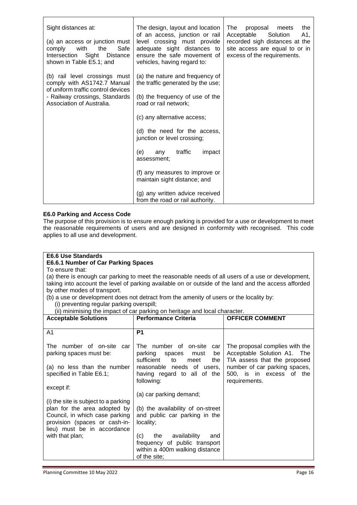| Sight distances at:<br>(a) an access or junction must<br>with<br>the<br>Safe<br>comply<br>Intersection Sight Distance | The design, layout and location<br>of an access, junction or rail<br>level crossing must provide<br>adequate sight distances to<br>ensure the safe movement of | The<br>proposal<br>meets<br>the<br>Acceptable<br>Solution<br>A1,<br>recorded sigh distances at the<br>site access are equal to or in<br>excess of the requirements. |
|-----------------------------------------------------------------------------------------------------------------------|----------------------------------------------------------------------------------------------------------------------------------------------------------------|---------------------------------------------------------------------------------------------------------------------------------------------------------------------|
| shown in Table E5.1; and                                                                                              | vehicles, having regard to:                                                                                                                                    |                                                                                                                                                                     |
| (b) rail level crossings must<br>comply with AS1742.7 Manual                                                          | (a) the nature and frequency of<br>the traffic generated by the use;                                                                                           |                                                                                                                                                                     |
| of uniform traffic control devices<br>- Railway crossings, Standards<br>Association of Australia.                     | (b) the frequency of use of the<br>road or rail network;                                                                                                       |                                                                                                                                                                     |
|                                                                                                                       | (c) any alternative access;                                                                                                                                    |                                                                                                                                                                     |
|                                                                                                                       | (d) the need for the access,<br>junction or level crossing;                                                                                                    |                                                                                                                                                                     |
|                                                                                                                       | traffic<br>(e)<br>impact<br>any<br>assessment;                                                                                                                 |                                                                                                                                                                     |
|                                                                                                                       | (f) any measures to improve or<br>maintain sight distance; and                                                                                                 |                                                                                                                                                                     |
|                                                                                                                       | (g) any written advice received<br>from the road or rail authority.                                                                                            |                                                                                                                                                                     |

#### **E6.0 Parking and Access Code**

The purpose of this provision is to ensure enough parking is provided for a use or development to meet the reasonable requirements of users and are designed in conformity with recognised. This code applies to all use and development.

#### **E6.6 Use Standards**

#### **E6.6.1 Number of Car Parking Spaces**

To ensure that:

(a) there is enough car parking to meet the reasonable needs of all users of a use or development, taking into account the level of parking available on or outside of the land and the access afforded by other modes of transport.

(b) a use or development does not detract from the amenity of users or the locality by: (i) preventing regular parking overspill;

(ii) minimising the impact of car parking on heritage and local character.

| <b>Acceptable Solutions</b>                                                                                                                                            | <b>Performance Criteria</b>                                                                                       | <b>OFFICER COMMENT</b>                                                                        |
|------------------------------------------------------------------------------------------------------------------------------------------------------------------------|-------------------------------------------------------------------------------------------------------------------|-----------------------------------------------------------------------------------------------|
|                                                                                                                                                                        |                                                                                                                   |                                                                                               |
| A1                                                                                                                                                                     | P <sub>1</sub>                                                                                                    |                                                                                               |
| The number of on-site car<br>parking spaces must be:                                                                                                                   | The number of on-site<br>car<br>parking<br>spaces<br>must<br>be<br>sufficient<br>the<br>to<br>meet                | The proposal complies with the<br>Acceptable Solution A1. The<br>TIA assess that the proposed |
| (a) no less than the number<br>specified in Table E6.1;                                                                                                                | reasonable needs of users,<br>having regard to all of the<br>following:                                           | number of car parking spaces,<br>500, is in excess of the<br>requirements.                    |
| except if:                                                                                                                                                             |                                                                                                                   |                                                                                               |
|                                                                                                                                                                        | (a) car parking demand;                                                                                           |                                                                                               |
| (i) the site is subject to a parking<br>plan for the area adopted by<br>Council, in which case parking<br>provision (spaces or cash-in-<br>lieu) must be in accordance | (b) the availability of on-street<br>and public car parking in the<br>locality;                                   |                                                                                               |
| with that plan;                                                                                                                                                        | the availability<br>(C)<br>and<br>frequency of public transport<br>within a 400m walking distance<br>of the site; |                                                                                               |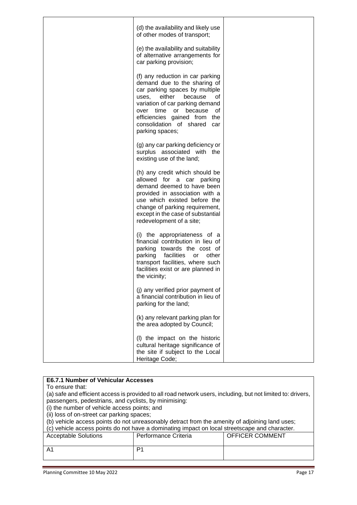| (d) the availability and likely use                                                                                                                                                                                                                                                                |  |
|----------------------------------------------------------------------------------------------------------------------------------------------------------------------------------------------------------------------------------------------------------------------------------------------------|--|
| of other modes of transport;                                                                                                                                                                                                                                                                       |  |
| (e) the availability and suitability<br>of alternative arrangements for<br>car parking provision;                                                                                                                                                                                                  |  |
| (f) any reduction in car parking<br>demand due to the sharing of<br>car parking spaces by multiple<br>either<br>because<br>uses.<br>οf<br>variation of car parking demand<br>time or<br>because<br>0f<br>over<br>efficiencies gained from the<br>consolidation of shared<br>car<br>parking spaces; |  |
| (g) any car parking deficiency or<br>surplus associated with the<br>existing use of the land;                                                                                                                                                                                                      |  |
| (h) any credit which should be<br>allowed for a car parking<br>demand deemed to have been<br>provided in association with a<br>use which existed before the<br>change of parking requirement,<br>except in the case of substantial<br>redevelopment of a site;                                     |  |
| (i) the appropriateness of a<br>financial contribution in lieu of<br>parking towards the cost of<br>facilities<br>parking<br>other<br>or<br>transport facilities, where such<br>facilities exist or are planned in<br>the vicinity;                                                                |  |
| (j) any verified prior payment of<br>a financial contribution in lieu of<br>parking for the land;                                                                                                                                                                                                  |  |
| (k) any relevant parking plan for<br>the area adopted by Council;                                                                                                                                                                                                                                  |  |
| (I) the impact on the historic<br>cultural heritage significance of<br>the site if subject to the Local<br>Heritage Code;                                                                                                                                                                          |  |

| <b>E6.7.1 Number of Vehicular Accesses</b>                                                     |                                                                                                              |                        |
|------------------------------------------------------------------------------------------------|--------------------------------------------------------------------------------------------------------------|------------------------|
| To ensure that:                                                                                |                                                                                                              |                        |
|                                                                                                | (a) safe and efficient access is provided to all road network users, including, but not limited to: drivers, |                        |
| passengers, pedestrians, and cyclists, by minimising:                                          |                                                                                                              |                        |
| (i) the number of vehicle access points; and                                                   |                                                                                                              |                        |
| (ii) loss of on-street car parking spaces;                                                     |                                                                                                              |                        |
| (b) vehicle access points do not unreasonably detract from the amenity of adjoining land uses; |                                                                                                              |                        |
| (c) vehicle access points do not have a dominating impact on local streetscape and character.  |                                                                                                              |                        |
| <b>Acceptable Solutions</b>                                                                    | Performance Criteria                                                                                         | <b>OFFICER COMMENT</b> |
|                                                                                                |                                                                                                              |                        |
| A1                                                                                             | P1                                                                                                           |                        |
|                                                                                                |                                                                                                              |                        |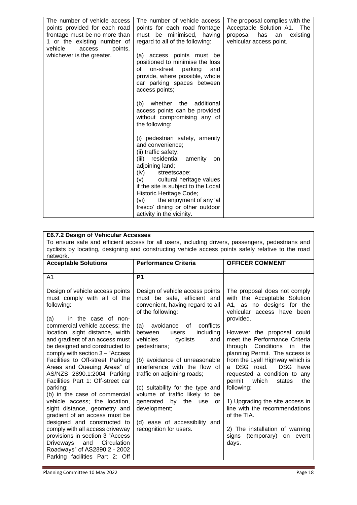| The number of vehicle access<br>points provided for each road<br>frontage must be no more than<br>1 or the existing number of<br>vehicle<br>points,<br>access<br>whichever is the greater. | The number of vehicle access<br>points for each road frontage<br>must be minimised, having<br>regard to all of the following:<br>(a) access points must be<br>positioned to minimise the loss<br>on-street parking<br>οf<br>and<br>provide, where possible, whole<br>car parking spaces between<br>access points;                                                       | The proposal complies with the<br>Acceptable Solution A1.<br>The<br>proposal has<br>existing<br>an<br>vehicular access point. |
|--------------------------------------------------------------------------------------------------------------------------------------------------------------------------------------------|-------------------------------------------------------------------------------------------------------------------------------------------------------------------------------------------------------------------------------------------------------------------------------------------------------------------------------------------------------------------------|-------------------------------------------------------------------------------------------------------------------------------|
|                                                                                                                                                                                            | (b) whether the additional<br>access points can be provided<br>without compromising any of<br>the following:                                                                                                                                                                                                                                                            |                                                                                                                               |
|                                                                                                                                                                                            | (i) pedestrian safety, amenity<br>and convenience;<br>(ii) traffic safety;<br>(iii)<br>residential<br>amenity<br>on<br>adjoining land;<br>(iv)<br>streetscape;<br>cultural heritage values<br>(V)<br>if the site is subject to the Local<br>Historic Heritage Code;<br>the enjoyment of any 'al<br>(vi)<br>fresco' dining or other outdoor<br>activity in the vicinity. |                                                                                                                               |

#### **E6.7.2 Design of Vehicular Accesses**

To ensure safe and efficient access for all users, including drivers, passengers, pedestrians and cyclists by locating, designing and constructing vehicle access points safely relative to the road network.

| <b>Acceptable Solutions</b>                                                                                                                                                                                                                                                                                                                                                                                                 | <b>Performance Criteria</b>                                                                                                                                                                                                                                                                                     | <b>OFFICER COMMENT</b>                                                                                                                                                                                                                                                                                                                                           |
|-----------------------------------------------------------------------------------------------------------------------------------------------------------------------------------------------------------------------------------------------------------------------------------------------------------------------------------------------------------------------------------------------------------------------------|-----------------------------------------------------------------------------------------------------------------------------------------------------------------------------------------------------------------------------------------------------------------------------------------------------------------|------------------------------------------------------------------------------------------------------------------------------------------------------------------------------------------------------------------------------------------------------------------------------------------------------------------------------------------------------------------|
| A1                                                                                                                                                                                                                                                                                                                                                                                                                          | P <sub>1</sub>                                                                                                                                                                                                                                                                                                  |                                                                                                                                                                                                                                                                                                                                                                  |
| Design of vehicle access points<br>must comply with all of the<br>following:<br>in the case of non-<br>(a)<br>commercial vehicle access; the                                                                                                                                                                                                                                                                                | Design of vehicle access points<br>must be safe, efficient and<br>convenient, having regard to all<br>of the following:<br>conflicts<br>avoidance<br>0f<br>(a)                                                                                                                                                  | The proposal does not comply<br>with the Acceptable Solution<br>A1, as no designs for the<br>vehicular access have been<br>provided.                                                                                                                                                                                                                             |
| location, sight distance, width<br>and gradient of an access must<br>be designed and constructed to<br>comply with section 3 - "Access<br>Facilities to Off-street Parking<br>Areas and Queuing Areas" of<br>AS/NZS 2890.1:2004 Parking<br>Facilities Part 1: Off-street car<br>parking;<br>(b) in the case of commercial<br>vehicle access; the location,<br>sight distance, geometry and<br>gradient of an access must be | including<br>between<br>users<br>vehicles,<br>cyclists<br>and<br>pedestrians;<br>(b) avoidance of unreasonable<br>interference with the flow of<br>traffic on adjoining roads;<br>(c) suitability for the type and<br>volume of traffic likely to be<br>generated<br>by<br>the use<br><b>or</b><br>development; | However the proposal could<br>meet the Performance Criteria<br>through Conditions<br>the<br>in<br>planning Permit. The access is<br>from the Lyell Highway which is<br>a DSG road. DSG have<br>requested a condition to any<br>permit<br>which<br>the<br>states<br>following:<br>1) Upgrading the site access in<br>line with the recommendations<br>of the TIA. |
| designed and constructed to<br>comply with all access driveway<br>provisions in section 3 "Access<br>Driveways and<br>Circulation<br>Roadways" of AS2890.2 - 2002<br>Parking facilities Part 2: Off                                                                                                                                                                                                                         | (d) ease of accessibility and<br>recognition for users.                                                                                                                                                                                                                                                         | 2) The installation of warning<br>signs (temporary) on event<br>days.                                                                                                                                                                                                                                                                                            |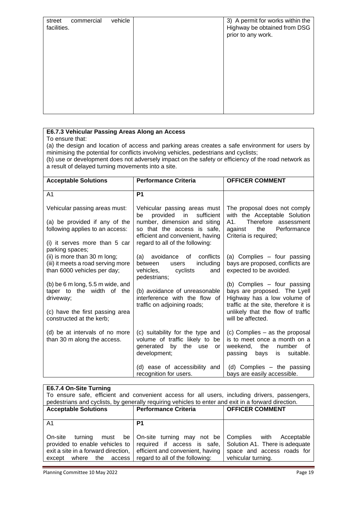| street<br>facilities. | commercial | vehicle | 3) A permit for works within the<br>Highway be obtained from DSG<br>prior to any work. |
|-----------------------|------------|---------|----------------------------------------------------------------------------------------|
|                       |            |         |                                                                                        |

#### **E6.7.3 Vehicular Passing Areas Along an Access**

#### To ensure that:

(a) the design and location of access and parking areas creates a safe environment for users by minimising the potential for conflicts involving vehicles, pedestrians and cyclists;

(b) use or development does not adversely impact on the safety or efficiency of the road network as a result of delayed turning movements into a site.

| <b>Acceptable Solutions</b>                                                           | <b>Performance Criteria</b>                                                                                            | <b>OFFICER COMMENT</b>                                                                                                                  |
|---------------------------------------------------------------------------------------|------------------------------------------------------------------------------------------------------------------------|-----------------------------------------------------------------------------------------------------------------------------------------|
| A1                                                                                    | P <sub>1</sub>                                                                                                         |                                                                                                                                         |
| Vehicular passing areas must:                                                         | Vehicular passing areas must<br>sufficient<br>provided<br>in.<br>be                                                    | The proposal does not comply<br>with the Acceptable Solution                                                                            |
| (a) be provided if any of the                                                         | number, dimension and siting                                                                                           | Therefore assessment<br>A1.                                                                                                             |
| following applies to an access:                                                       | so that the access is safe.<br>efficient and convenient, having                                                        | against<br>the<br>Performance<br>Criteria is required;                                                                                  |
| (i) it serves more than 5 car                                                         | regard to all of the following:                                                                                        |                                                                                                                                         |
| parking spaces;<br>(ii) is more than 30 m long;<br>(iii) it meets a road serving more | (a) avoidance of conflicts<br>including<br>between<br>users                                                            | (a) Complies - four passing<br>bays are proposed, conflicts are                                                                         |
| than 6000 vehicles per day;                                                           | vehicles,<br>cyclists<br>and<br>pedestrians;                                                                           | expected to be avoided.                                                                                                                 |
| (b) be $6 \text{ m}$ long, $5.5 \text{ m}$ wide, and                                  |                                                                                                                        | (b) Complies - four passing                                                                                                             |
| taper to the width of the<br>driveway;                                                | (b) avoidance of unreasonable<br>interference with the flow of                                                         | bays are proposed. The Lyell<br>Highway has a low volume of                                                                             |
| (c) have the first passing area                                                       | traffic on adjoining roads;                                                                                            | traffic at the site, therefore it is<br>unlikely that the flow of traffic                                                               |
| constructed at the kerb;                                                              |                                                                                                                        | will be affected.                                                                                                                       |
| (d) be at intervals of no more<br>than 30 m along the access.                         | (c) suitability for the type and<br>volume of traffic likely to be<br>by<br>generated<br>the use<br>or<br>development; | (c) Complies – as the proposal<br>is to meet once a month on a<br>the<br>weekend.<br>number<br>0f<br>passing<br>bays<br>suitable.<br>is |
|                                                                                       | (d) ease of accessibility and<br>recognition for users.                                                                | (d) Complies - the passing<br>bays are easily accessible.                                                                               |

#### **E6.7.4 On-Site Turning**

To ensure safe, efficient and convenient access for all users, including drivers, passengers, pedestrians and cyclists, by generally requiring vehicles to enter and exit in a forward direction.

| <b>Acceptable Solutions</b>                                               | <b>Performance Criteria</b>                                                                                                                                              | <b>OFFICER COMMENT</b>                           |
|---------------------------------------------------------------------------|--------------------------------------------------------------------------------------------------------------------------------------------------------------------------|--------------------------------------------------|
| A <sub>1</sub>                                                            | P <sub>1</sub>                                                                                                                                                           |                                                  |
| On-site<br>turnina                                                        | must be On-site turning may not be Complies with Acceptable<br>provided to enable vehicles to $\vert$ required if access is safe, $\vert$ Solution A1. There is adequate |                                                  |
| exit a site in a forward direction,  <br>the<br>where<br>access<br>except | efficient and convenient, having<br>regard to all of the following:                                                                                                      | space and access roads for<br>vehicular turning. |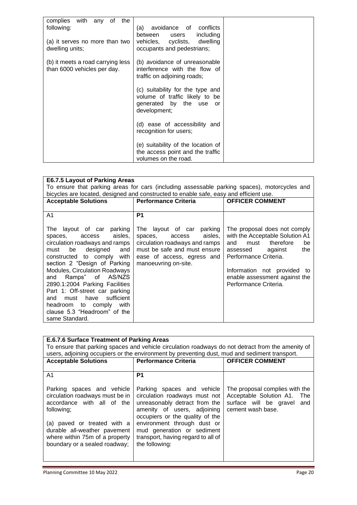| complies<br>with any of<br>the<br>following:<br>(a) it serves no more than two<br>dwelling units; | avoidance of conflicts<br>(a)<br>including<br>between<br>users<br>vehicles, cyclists, dwelling<br>occupants and pedestrians; |  |
|---------------------------------------------------------------------------------------------------|------------------------------------------------------------------------------------------------------------------------------|--|
| (b) it meets a road carrying less<br>than 6000 vehicles per day.                                  | (b) avoidance of unreasonable<br>interference with the flow of<br>traffic on adjoining roads;                                |  |
|                                                                                                   | (c) suitability for the type and<br>volume of traffic likely to be<br>generated by the use or<br>development;                |  |
|                                                                                                   | (d) ease of accessibility and<br>recognition for users;                                                                      |  |
|                                                                                                   | (e) suitability of the location of<br>the access point and the traffic<br>volumes on the road.                               |  |

| <b>E6.7.5 Layout of Parking Areas</b>                                                                                                                                                                                                                                                                                                                                                                                                            |                                                                                                                                                                                   |                                                                                                                                                                                                                                                   |  |
|--------------------------------------------------------------------------------------------------------------------------------------------------------------------------------------------------------------------------------------------------------------------------------------------------------------------------------------------------------------------------------------------------------------------------------------------------|-----------------------------------------------------------------------------------------------------------------------------------------------------------------------------------|---------------------------------------------------------------------------------------------------------------------------------------------------------------------------------------------------------------------------------------------------|--|
|                                                                                                                                                                                                                                                                                                                                                                                                                                                  | To ensure that parking areas for cars (including assessable parking spaces), motorcycles and                                                                                      |                                                                                                                                                                                                                                                   |  |
|                                                                                                                                                                                                                                                                                                                                                                                                                                                  | bicycles are located, designed and constructed to enable safe, easy and efficient use.                                                                                            |                                                                                                                                                                                                                                                   |  |
| <b>Acceptable Solutions</b>                                                                                                                                                                                                                                                                                                                                                                                                                      | <b>Performance Criteria</b>                                                                                                                                                       | <b>OFFICER COMMENT</b>                                                                                                                                                                                                                            |  |
|                                                                                                                                                                                                                                                                                                                                                                                                                                                  |                                                                                                                                                                                   |                                                                                                                                                                                                                                                   |  |
| A1                                                                                                                                                                                                                                                                                                                                                                                                                                               | P1                                                                                                                                                                                |                                                                                                                                                                                                                                                   |  |
| The layout of car parking<br>aisles,<br>access<br>spaces,<br>circulation roadways and ramps<br>and<br>designed<br>be<br>must<br>constructed to comply<br>with<br>section 2 "Design of Parking<br><b>Modules, Circulation Roadways</b><br>and Ramps" of AS/NZS<br>2890.1:2004 Parking Facilities<br>Part 1: Off-street car parking<br>have sufficient<br>must<br>and<br>headroom to comply with<br>clause 5.3 "Headroom" of the<br>same Standard. | The layout of car parking<br>aisles,<br>spaces,<br>access<br>circulation roadways and ramps<br>must be safe and must ensure<br>ease of access, egress and<br>manoeuvring on-site. | The proposal does not comply<br>with the Acceptable Solution A1<br>must therefore<br>and<br>be<br>against<br>assessed<br>the<br>Performance Criteria.<br>Information not provided<br>to<br>enable assessment against the<br>Performance Criteria. |  |

| <b>E.6.7.6 Surface Treatment of Parking Areas</b> |                                                                                                   |                                |  |
|---------------------------------------------------|---------------------------------------------------------------------------------------------------|--------------------------------|--|
|                                                   | To ensure that parking spaces and vehicle circulation roadways do not detract from the amenity of |                                |  |
|                                                   | users, adjoining occupiers or the environment by preventing dust, mud and sediment transport.     |                                |  |
| <b>Acceptable Solutions</b>                       | <b>Performance Criteria</b>                                                                       | <b>OFFICER COMMENT</b>         |  |
|                                                   |                                                                                                   |                                |  |
| A1                                                | P <sub>1</sub>                                                                                    |                                |  |
|                                                   |                                                                                                   |                                |  |
| Parking spaces and vehicle                        | Parking spaces and vehicle                                                                        | The proposal complies with the |  |
| circulation roadways must be in                   | circulation roadways must not                                                                     | Acceptable Solution A1. The    |  |
| accordance with all of the                        | unreasonably detract from the                                                                     | surface will be gravel and     |  |
| following;                                        | amenity of users, adjoining                                                                       | cement wash base.              |  |
|                                                   | occupiers or the quality of the                                                                   |                                |  |
| (a) paved or treated with a                       | environment through dust or                                                                       |                                |  |
| durable all-weather pavement                      | mud generation or sediment                                                                        |                                |  |
| where within 75m of a property                    | transport, having regard to all of                                                                |                                |  |
| boundary or a sealed roadway;                     | the following:                                                                                    |                                |  |
|                                                   |                                                                                                   |                                |  |
|                                                   |                                                                                                   |                                |  |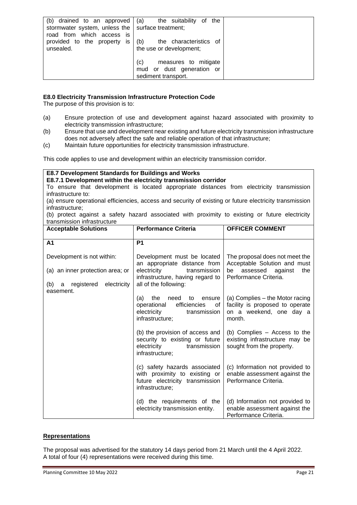| (b) drained to an approved<br>stormwater system, unless the   surface treatment;<br>road from which access is | (a)<br>the suitability of<br>the                                                |  |
|---------------------------------------------------------------------------------------------------------------|---------------------------------------------------------------------------------|--|
| provided to the property is<br>unsealed.                                                                      | the characteristics of<br>(b)<br>the use or development;                        |  |
|                                                                                                               | (c)<br>measures to mitigate<br>mud or dust generation or<br>sediment transport. |  |

#### **E8.0 Electricity Transmission Infrastructure Protection Code**

The purpose of this provision is to:

- (a) Ensure protection of use and development against hazard associated with proximity to electricity transmission infrastructure;
- (b) Ensure that use and development near existing and future electricity transmission infrastructure does not adversely affect the safe and reliable operation of that infrastructure;
- (c) Maintain future opportunities for electricity transmission infrastructure.

This code applies to use and development within an electricity transmission corridor.

#### **E8.7 Development Standards for Buildings and Works E8.7.1 Development within the electricity transmission corridor** To ensure that development is located appropriate distances from electricity transmission infrastructure to: (a) ensure operational efficiencies, access and security of existing or future electricity transmission infrastructure;

(b) protect against a safety hazard associated with proximity to existing or future electricity transmission infrastructure

| <b>Acceptable Solutions</b>                     | <b>Performance Criteria</b>                                                                                               | <b>OFFICER COMMENT</b>                                                                                  |
|-------------------------------------------------|---------------------------------------------------------------------------------------------------------------------------|---------------------------------------------------------------------------------------------------------|
| A <sub>1</sub>                                  | <b>P1</b>                                                                                                                 |                                                                                                         |
| Development is not within:                      | Development must be located<br>an appropriate distance from                                                               | The proposal does not meet the<br>Acceptable Solution and must                                          |
| (a) an inner protection area; or                | electricity<br>transmission<br>infrastructure, having regard to                                                           | assessed<br>be<br>against<br>the<br>Performance Criteria.                                               |
| registered electricity<br>(b)<br>a<br>easement. | all of the following:                                                                                                     |                                                                                                         |
|                                                 | (a)<br>the<br>need<br>to<br>ensure<br>operational<br>efficiencies<br>0f<br>electricity<br>transmission<br>infrastructure; | (a) Complies - the Motor racing<br>facility is proposed to operate<br>on a weekend, one day a<br>month. |
|                                                 | (b) the provision of access and<br>security to existing or future<br>electricity<br>transmission<br>infrastructure;       | (b) Complies – Access to the<br>existing infrastructure may be<br>sought from the property.             |
|                                                 | (c) safety hazards associated<br>with proximity to existing or<br>future electricity transmission<br>infrastructure;      | (c) Information not provided to<br>enable assessment against the<br>Performance Criteria.               |
|                                                 | (d) the requirements of the<br>electricity transmission entity.                                                           | (d) Information not provided to<br>enable assessment against the<br>Performance Criteria.               |

#### **Representations**

The proposal was advertised for the statutory 14 days period from 21 March until the 4 April 2022. A total of four (4) representations were received during this time.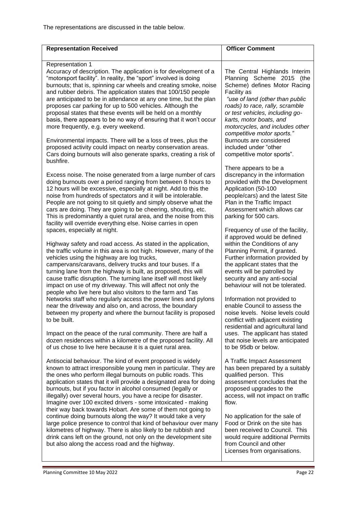| <b>Representation Received</b>                                                                                                                                                                                                                                                                                                                                                                                                                                                                                                                                                                              | <b>Officer Comment</b>                                                                                                                                                                                                                                                                                         |
|-------------------------------------------------------------------------------------------------------------------------------------------------------------------------------------------------------------------------------------------------------------------------------------------------------------------------------------------------------------------------------------------------------------------------------------------------------------------------------------------------------------------------------------------------------------------------------------------------------------|----------------------------------------------------------------------------------------------------------------------------------------------------------------------------------------------------------------------------------------------------------------------------------------------------------------|
| Representation 1<br>Accuracy of description. The application is for development of a<br>"motorsport facility". In reality, the "sport" involved is doing<br>burnouts; that is, spinning car wheels and creating smoke, noise<br>and rubber debris. The application states that 100/150 people<br>are anticipated to be in attendance at any one time, but the plan<br>proposes car parking for up to 500 vehicles. Although the<br>proposal states that these events will be held on a monthly<br>basis, there appears to be no way of ensuring that it won't occur<br>more frequently, e.g. every weekend. | The Central Highlands Interim<br>Planning Scheme 2015 (the<br>Scheme) defines Motor Racing<br>Facility as<br>"use of land (other than public<br>roads) to race, rally, scramble<br>or test vehicles, including go-<br>karts, motor boats, and<br>motorcycles, and includes other<br>competitive motor sports." |
| Environmental impacts. There will be a loss of trees, plus the<br>proposed activity could impact on nearby conservation areas.<br>Cars doing burnouts will also generate sparks, creating a risk of<br>bushfire.                                                                                                                                                                                                                                                                                                                                                                                            | Burnouts are considered<br>included under "other<br>competitive motor sports".                                                                                                                                                                                                                                 |
| Excess noise. The noise generated from a large number of cars<br>doing burnouts over a period ranging from between 8 hours to<br>12 hours will be excessive, especially at night. Add to this the<br>noise from hundreds of spectators and it will be intolerable.<br>People are not going to sit quietly and simply observe what the<br>cars are doing. They are going to be cheering, shouting, etc.<br>This is predominantly a quiet rural area, and the noise from this<br>facility will override everything else. Noise carries in open<br>spaces, especially at night.                                | There appears to be a<br>discrepancy in the information<br>provided with the Development<br>Application (50-100<br>people/cars) and the latest Site<br>Plan in the Traffic Impact<br>Assessment which allows car<br>parking for 500 cars.<br>Frequency of use of the facility,                                 |
| Highway safety and road access. As stated in the application,<br>the traffic volume in this area is not high. However, many of the<br>vehicles using the highway are log trucks,<br>campervans/caravans, delivery trucks and tour buses. If a<br>turning lane from the highway is built, as proposed, this will<br>cause traffic disruption. The turning lane itself will most likely<br>impact on use of my driveway. This will affect not only the<br>people who live here but also visitors to the farm and Tas                                                                                          | if approved would be defined<br>within the Conditions of any<br>Planning Permit, if granted.<br>Further information provided by<br>the applicant states that the<br>events will be patrolled by<br>security and any anti-social<br>behaviour will not be tolerated.                                            |
| Networks staff who regularly access the power lines and pylons<br>near the driveway and also on, and across, the boundary<br>between my property and where the burnout facility is proposed<br>to be built.                                                                                                                                                                                                                                                                                                                                                                                                 | Information not provided to<br>enable Council to assess the<br>noise levels. Noise levels could<br>conflict with adjacent existing<br>residential and agricultural land                                                                                                                                        |
| Impact on the peace of the rural community. There are half a<br>dozen residences within a kilometre of the proposed facility. All<br>of us chose to live here because it is a quiet rural area.                                                                                                                                                                                                                                                                                                                                                                                                             | uses. The applicant has stated<br>that noise levels are anticipated<br>to be 95db or below.                                                                                                                                                                                                                    |
| Antisocial behaviour. The kind of event proposed is widely<br>known to attract irresponsible young men in particular. They are<br>the ones who perform illegal burnouts on public roads. This<br>application states that it will provide a designated area for doing<br>burnouts, but if you factor in alcohol consumed (legally or<br>illegally) over several hours, you have a recipe for disaster.<br>Imagine over 100 excited drivers - some intoxicated - making<br>their way back towards Hobart. Are some of them not going to                                                                       | A Traffic Impact Assessment<br>has been prepared by a suitably<br>qualified person. This<br>assessment concludes that the<br>proposed upgrades to the<br>access, will not impact on traffic<br>flow.                                                                                                           |
| continue doing burnouts along the way? It would take a very<br>large police presence to control that kind of behaviour over many<br>kilometres of highway. There is also likely to be rubbish and<br>drink cans left on the ground, not only on the development site<br>but also along the access road and the highway.                                                                                                                                                                                                                                                                                     | No application for the sale of<br>Food or Drink on the site has<br>been received to Council. This<br>would require additional Permits<br>from Council and other<br>Licenses from organisations.                                                                                                                |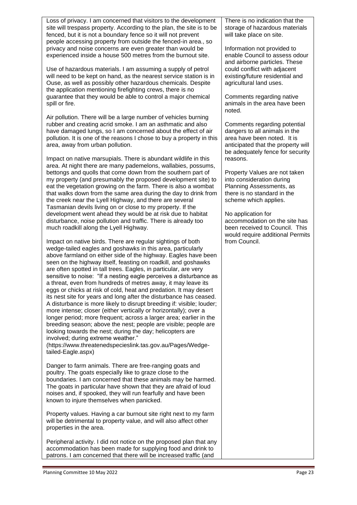Loss of privacy. I am concerned that visitors to the development site will trespass property. According to the plan, the site is to be fenced, but it is not a boundary fence so it will not prevent people accessing property from outside the fenced-in area., so privacy and noise concerns are even greater than would be experienced inside a house 500 metres from the burnout site.

Use of hazardous materials. I am assuming a supply of petrol will need to be kept on hand, as the nearest service station is in Ouse, as well as possibly other hazardous chemicals. Despite the application mentioning firefighting crews, there is no guarantee that they would be able to control a major chemical spill or fire.

Air pollution. There will be a large number of vehicles burning rubber and creating acrid smoke. I am an asthmatic and also have damaged lungs, so I am concerned about the effect of air pollution. It is one of the reasons I chose to buy a property in this area, away from urban pollution.

Impact on native marsupials. There is abundant wildlife in this area. At night there are many pademelons, wallabies, possums, bettongs and quolls that come down from the southern part of my property (and presumably the proposed development site) to eat the vegetation growing on the farm. There is also a wombat that walks down from the same area during the day to drink from the creek near the Lyell Highway, and there are several Tasmanian devils living on or close to my property. If the development went ahead they would be at risk due to habitat disturbance, noise pollution and traffic. There is already too much roadkill along the Lyell Highway.

Impact on native birds. There are regular sightings of both wedge-tailed eagles and goshawks in this area, particularly above farmland on either side of the highway. Eagles have been seen on the highway itself, feasting on roadkill, and goshawks are often spotted in tall trees. Eagles, in particular, are very sensitive to noise: "If a nesting eagle perceives a disturbance as a threat, even from hundreds of metres away, it may leave its eggs or chicks at risk of cold, heat and predation. It may desert its nest site for years and long after the disturbance has ceased. A disturbance is more likely to disrupt breeding if: visible; louder; more intense; closer (either vertically or horizontally); over a longer period; more frequent; across a larger area; earlier in the breeding season; above the nest; people are visible; people are looking towards the nest; during the day; helicopters are involved; during extreme weather."

(https://www.threatenedspecieslink.tas.gov.au/Pages/Wedgetailed-Eagle.aspx)

Danger to farm animals. There are free-ranging goats and poultry. The goats especially like to graze close to the boundaries. I am concerned that these animals may be harmed. The goats in particular have shown that they are afraid of loud noises and, if spooked, they will run fearfully and have been known to injure themselves when panicked.

Property values. Having a car burnout site right next to my farm will be detrimental to property value, and will also affect other properties in the area.

Peripheral activity. I did not notice on the proposed plan that any accommodation has been made for supplying food and drink to patrons. I am concerned that there will be increased traffic (and

There is no indication that the storage of hazardous materials will take place on site.

Information not provided to enable Council to assess odour and airborne particles. These could conflict with adjacent existing/future residential and agricultural land uses.

Comments regarding native animals in the area have been noted.

Comments regarding potential dangers to all animals in the area have been noted. It is anticipated that the property will be adequately fence for security reasons.

Property Values are not taken into consideration during Planning Assessments, as there is no standard in the scheme which applies.

No application for accommodation on the site has been received to Council. This would require additional Permits from Council.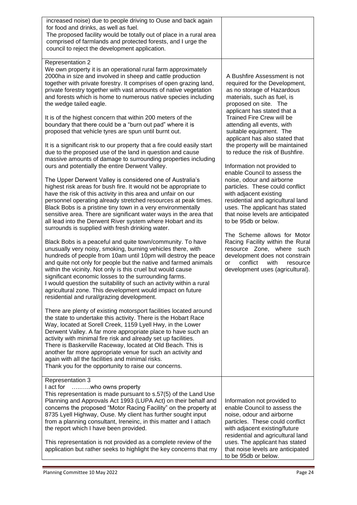| for food and drinks, as well as fuel.<br>The proposed facility would be totally out of place in a rural area<br>comprised of farmlands and protected forests, and I urge the<br>council to reject the development application.                                                                                                                                                                                                                                                                                                                                                                                                                                                                                                                                                                                                                                                                                                                                                                                                                                                                                                                                                                                                                                                                                                                                                                                                                                                                                                                                                                                                                                                                                                                                                                                                                                                                                                                                                                                                                                                                                                                                                                                                                                                                                                                                                                                                                                                                                                          |                                                                                                                                                                                                                                                                                                                                                                                                                                                                                                                                                                                                                                                                                                                                                                                                                                                                                                  |
|-----------------------------------------------------------------------------------------------------------------------------------------------------------------------------------------------------------------------------------------------------------------------------------------------------------------------------------------------------------------------------------------------------------------------------------------------------------------------------------------------------------------------------------------------------------------------------------------------------------------------------------------------------------------------------------------------------------------------------------------------------------------------------------------------------------------------------------------------------------------------------------------------------------------------------------------------------------------------------------------------------------------------------------------------------------------------------------------------------------------------------------------------------------------------------------------------------------------------------------------------------------------------------------------------------------------------------------------------------------------------------------------------------------------------------------------------------------------------------------------------------------------------------------------------------------------------------------------------------------------------------------------------------------------------------------------------------------------------------------------------------------------------------------------------------------------------------------------------------------------------------------------------------------------------------------------------------------------------------------------------------------------------------------------------------------------------------------------------------------------------------------------------------------------------------------------------------------------------------------------------------------------------------------------------------------------------------------------------------------------------------------------------------------------------------------------------------------------------------------------------------------------------------------------|--------------------------------------------------------------------------------------------------------------------------------------------------------------------------------------------------------------------------------------------------------------------------------------------------------------------------------------------------------------------------------------------------------------------------------------------------------------------------------------------------------------------------------------------------------------------------------------------------------------------------------------------------------------------------------------------------------------------------------------------------------------------------------------------------------------------------------------------------------------------------------------------------|
| <b>Representation 2</b><br>We own property it is an operational rural farm approximately<br>2000ha in size and involved in sheep and cattle production<br>together with private forestry. It comprises of open grazing land,<br>private forestry together with vast amounts of native vegetation<br>and forests which is home to numerous native species including<br>the wedge tailed eagle.<br>It is of the highest concern that within 200 meters of the<br>boundary that there could be a "burn out pad" where it is<br>proposed that vehicle tyres are spun until burnt out.<br>It is a significant risk to our property that a fire could easily start<br>due to the proposed use of the land in question and cause<br>massive amounts of damage to surrounding properties including<br>ours and potentially the entire Derwent Valley.<br>The Upper Derwent Valley is considered one of Australia's<br>highest risk areas for bush fire. It would not be appropriate to<br>have the risk of this activity in this area and unfair on our<br>personnel operating already stretched resources at peak times.<br>Black Bobs is a pristine tiny town in a very environmentally<br>sensitive area. There are significant water ways in the area that<br>all lead into the Derwent River system where Hobart and its<br>surrounds is supplied with fresh drinking water.<br>Black Bobs is a peaceful and quite town/community. To have<br>unusually very noisy, smoking, burning vehicles there, with<br>hundreds of people from 10am until 10pm will destroy the peace<br>and quite not only for people but the native and farmed animals<br>within the vicinity. Not only is this cruel but would cause<br>significant economic losses to the surrounding farms.<br>I would question the suitability of such an activity within a rural<br>agricultural zone. This development would impact on future<br>residential and rural/grazing development.<br>There are plenty of existing motorsport facilities located around<br>the state to undertake this activity. There is the Hobart Race<br>Way, located at Sorell Creek, 1159 Lyell Hwy, in the Lower<br>Derwent Valley. A far more appropriate place to have such an<br>activity with minimal fire risk and already set up facilities.<br>There is Baskerville Raceway, located at Old Beach. This is<br>another far more appropriate venue for such an activity and<br>again with all the facilities and minimal risks.<br>Thank you for the opportunity to raise our concerns. | A Bushfire Assessment is not<br>required for the Development,<br>as no storage of Hazardous<br>materials, such as fuel, is<br>proposed on site. The<br>applicant has stated that a<br><b>Trained Fire Crew will be</b><br>attending all events, with<br>suitable equipment. The<br>applicant has also stated that<br>the property will be maintained<br>to reduce the risk of Bushfire.<br>Information not provided to<br>enable Council to assess the<br>noise, odour and airborne<br>particles. These could conflict<br>with adjacent existing<br>residential and agricultural land<br>uses. The applicant has stated<br>that noise levels are anticipated<br>to be 95db or below.<br>The Scheme allows for Motor<br>Racing Facility within the Rural<br>resource Zone, where such<br>development does not constrain<br>conflict<br>with<br>resource<br>or<br>development uses (agricultural). |
| Representation 3<br>I act for<br>who owns property<br>This representation is made pursuant to s.57(5) of the Land Use<br>Planning and Approvals Act 1993 (LUPA Act) on their behalf and<br>concerns the proposed "Motor Racing Facility" on the property at<br>8735 Lyell Highway, Ouse. My client has further sought input<br>from a planning consultant, Ireneinc, in this matter and I attach<br>the report which I have been provided.<br>This representation is not provided as a complete review of the<br>application but rather seeks to highlight the key concerns that my                                                                                                                                                                                                                                                                                                                                                                                                                                                                                                                                                                                                                                                                                                                                                                                                                                                                                                                                                                                                                                                                                                                                                                                                                                                                                                                                                                                                                                                                                                                                                                                                                                                                                                                                                                                                                                                                                                                                                     | Information not provided to<br>enable Council to assess the<br>noise, odour and airborne<br>particles. These could conflict<br>with adjacent existing/future<br>residential and agricultural land<br>uses. The applicant has stated<br>that noise levels are anticipated                                                                                                                                                                                                                                                                                                                                                                                                                                                                                                                                                                                                                         |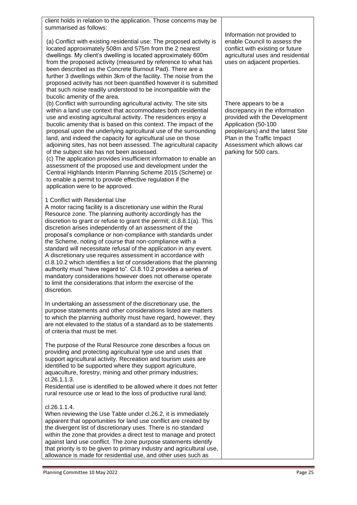| client holds in relation to the application. Those concerns may be<br>summarised as follows:                                                                                                                                                                                                                                                                                                                                                                                                                                                                                                                                                                                                                                                                                                                                                               |                                                                                                                                                                                                                                           |
|------------------------------------------------------------------------------------------------------------------------------------------------------------------------------------------------------------------------------------------------------------------------------------------------------------------------------------------------------------------------------------------------------------------------------------------------------------------------------------------------------------------------------------------------------------------------------------------------------------------------------------------------------------------------------------------------------------------------------------------------------------------------------------------------------------------------------------------------------------|-------------------------------------------------------------------------------------------------------------------------------------------------------------------------------------------------------------------------------------------|
| (a) Conflict with existing residential use: The proposed activity is<br>located approximately 508m and 575m from the 2 nearest<br>dwellings. My client's dwelling is located approximately 600m<br>from the proposed activity (measured by reference to what has<br>been described as the Concrete Burnout Pad). There are a<br>further 3 dwellings within 3km of the facility. The noise from the<br>proposed activity has not been quantified however it is submitted<br>that such noise readily understood to be incompatible with the<br>bucolic amenity of the area.                                                                                                                                                                                                                                                                                  | Information not provided to<br>enable Council to assess the<br>conflict with existing or future<br>agricultural uses and residential<br>uses on adjacent properties.                                                                      |
| (b) Conflict with surrounding agricultural activity. The site sits<br>within a land use context that accommodates both residential<br>use and existing agricultural activity. The residences enjoy a<br>bucolic amenity that is based on this context. The impact of the<br>proposal upon the underlying agricultural use of the surrounding<br>land, and indeed the capacity for agricultural use on those<br>adjoining sites, has not been assessed. The agricultural capacity<br>of the subject site has not been assessed.<br>(c) The application provides insufficient information to enable an<br>assessment of the proposed use and development under the<br>Central Highlands Interim Planning Scheme 2015 (Scheme) or<br>to enable a permit to provide effective regulation if the<br>application were to be approved.                            | There appears to be a<br>discrepancy in the information<br>provided with the Development<br>Application (50-100<br>people/cars) and the latest Site<br>Plan in the Traffic Impact<br>Assessment which allows car<br>parking for 500 cars. |
| 1 Conflict with Residential Use<br>A motor racing facility is a discretionary use within the Rural<br>Resource zone. The planning authority accordingly has the<br>discretion to grant or refuse to grant the permit; cl.8.8.1(a). This<br>discretion arises independently of an assessment of the<br>proposal's compliance or non-compliance with standards under<br>the Scheme, noting of course that non-compliance with a<br>standard will necessitate refusal of the application in any event.<br>A discretionary use requires assessment in accordance with<br>cl.8.10.2 which identifies a list of considerations that the planning<br>authority must "have regard to". Cl.8.10.2 provides a series of<br>mandatory considerations however does not otherwise operate<br>to limit the considerations that inform the exercise of the<br>discretion. |                                                                                                                                                                                                                                           |
| In undertaking an assessment of the discretionary use, the<br>purpose statements and other considerations listed are matters<br>to which the planning authority must have regard, however, they<br>are not elevated to the status of a standard as to be statements<br>of criteria that must be met.                                                                                                                                                                                                                                                                                                                                                                                                                                                                                                                                                       |                                                                                                                                                                                                                                           |
| The purpose of the Rural Resource zone describes a focus on<br>providing and protecting agricultural type use and uses that<br>support agricultural activity. Recreation and tourism uses are<br>identified to be supported where they support agriculture,<br>aquaculture, forestry, mining and other primary industries;<br>cl.26.1.1.3.<br>Residential use is identified to be allowed where it does not fetter<br>rural resource use or lead to the loss of productive rural land;                                                                                                                                                                                                                                                                                                                                                                     |                                                                                                                                                                                                                                           |
| cl.26.1.1.4.<br>When reviewing the Use Table under cl.26.2, it is immediately<br>apparent that opportunities for land use conflict are created by<br>the divergent list of discretionary uses. There is no standard<br>within the zone that provides a direct test to manage and protect<br>against land use conflict. The zone purpose statements identify<br>that priority is to be given to primary industry and agricultural use,                                                                                                                                                                                                                                                                                                                                                                                                                      |                                                                                                                                                                                                                                           |

allowance is made for residential use, and other uses such as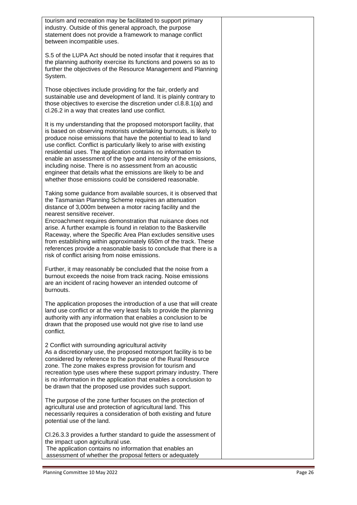| tourism and recreation may be facilitated to support primary<br>industry. Outside of this general approach, the purpose<br>statement does not provide a framework to manage conflict<br>between incompatible uses.                                                                                                                                                                                                                                                                                                                                                                                                  |  |
|---------------------------------------------------------------------------------------------------------------------------------------------------------------------------------------------------------------------------------------------------------------------------------------------------------------------------------------------------------------------------------------------------------------------------------------------------------------------------------------------------------------------------------------------------------------------------------------------------------------------|--|
| S.5 of the LUPA Act should be noted insofar that it requires that<br>the planning authority exercise its functions and powers so as to<br>further the objectives of the Resource Management and Planning<br>System.                                                                                                                                                                                                                                                                                                                                                                                                 |  |
| Those objectives include providing for the fair, orderly and<br>sustainable use and development of land. It is plainly contrary to<br>those objectives to exercise the discretion under cl.8.8.1(a) and<br>cl.26.2 in a way that creates land use conflict.                                                                                                                                                                                                                                                                                                                                                         |  |
| It is my understanding that the proposed motorsport facility, that<br>is based on observing motorists undertaking burnouts, is likely to<br>produce noise emissions that have the potential to lead to land<br>use conflict. Conflict is particularly likely to arise with existing<br>residential uses. The application contains no information to<br>enable an assessment of the type and intensity of the emissions,<br>including noise. There is no assessment from an acoustic<br>engineer that details what the emissions are likely to be and<br>whether those emissions could be considered reasonable.     |  |
| Taking some guidance from available sources, it is observed that<br>the Tasmanian Planning Scheme requires an attenuation<br>distance of 3,000m between a motor racing facility and the<br>nearest sensitive receiver.<br>Encroachment requires demonstration that nuisance does not<br>arise. A further example is found in relation to the Baskerville<br>Raceway, where the Specific Area Plan excludes sensitive uses<br>from establishing within approximately 650m of the track. These<br>references provide a reasonable basis to conclude that there is a<br>risk of conflict arising from noise emissions. |  |
| Further, it may reasonably be concluded that the noise from a<br>burnout exceeds the noise from track racing. Noise emissions<br>are an incident of racing however an intended outcome of<br>burnouts.                                                                                                                                                                                                                                                                                                                                                                                                              |  |
| The application proposes the introduction of a use that will create<br>land use conflict or at the very least fails to provide the planning<br>authority with any information that enables a conclusion to be<br>drawn that the proposed use would not give rise to land use<br>conflict.                                                                                                                                                                                                                                                                                                                           |  |
| 2 Conflict with surrounding agricultural activity<br>As a discretionary use, the proposed motorsport facility is to be<br>considered by reference to the purpose of the Rural Resource<br>zone. The zone makes express provision for tourism and<br>recreation type uses where these support primary industry. There<br>is no information in the application that enables a conclusion to<br>be drawn that the proposed use provides such support.                                                                                                                                                                  |  |
| The purpose of the zone further focuses on the protection of<br>agricultural use and protection of agricultural land. This<br>necessarily requires a consideration of both existing and future<br>potential use of the land.                                                                                                                                                                                                                                                                                                                                                                                        |  |
| CI.26.3.3 provides a further standard to guide the assessment of<br>the impact upon agricultural use.<br>The application contains no information that enables an<br>assessment of whether the proposal fetters or adequately                                                                                                                                                                                                                                                                                                                                                                                        |  |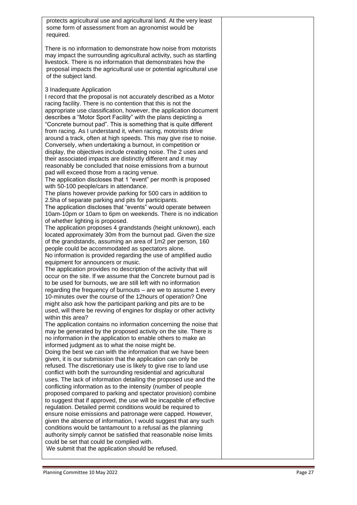| protects agricultural use and agricultural land. At the very least<br>some form of assessment from an agronomist would be<br>required.                                                                                                                                                                                                                                                                                                                                                                                                                                                                                                                                                                                                                                                                                                                                                                                                                                                                                                                                                                                                                                                                                                                                                                                                                                                                                                                                                                                                                                                                                                                                                                                                                                                                                                                                                                                                                                                                                                                                                                                                                                                                                                                                                                                                                                                                                                                                                                                                                                                                                                                                                                                                                                                                                                                                                                                                                                                                                                                                                                                                                                                                                                                                                                                                                                  |  |
|-------------------------------------------------------------------------------------------------------------------------------------------------------------------------------------------------------------------------------------------------------------------------------------------------------------------------------------------------------------------------------------------------------------------------------------------------------------------------------------------------------------------------------------------------------------------------------------------------------------------------------------------------------------------------------------------------------------------------------------------------------------------------------------------------------------------------------------------------------------------------------------------------------------------------------------------------------------------------------------------------------------------------------------------------------------------------------------------------------------------------------------------------------------------------------------------------------------------------------------------------------------------------------------------------------------------------------------------------------------------------------------------------------------------------------------------------------------------------------------------------------------------------------------------------------------------------------------------------------------------------------------------------------------------------------------------------------------------------------------------------------------------------------------------------------------------------------------------------------------------------------------------------------------------------------------------------------------------------------------------------------------------------------------------------------------------------------------------------------------------------------------------------------------------------------------------------------------------------------------------------------------------------------------------------------------------------------------------------------------------------------------------------------------------------------------------------------------------------------------------------------------------------------------------------------------------------------------------------------------------------------------------------------------------------------------------------------------------------------------------------------------------------------------------------------------------------------------------------------------------------------------------------------------------------------------------------------------------------------------------------------------------------------------------------------------------------------------------------------------------------------------------------------------------------------------------------------------------------------------------------------------------------------------------------------------------------------------------------------------------------|--|
| There is no information to demonstrate how noise from motorists<br>may impact the surrounding agricultural activity, such as startling<br>livestock. There is no information that demonstrates how the<br>proposal impacts the agricultural use or potential agricultural use<br>of the subject land.                                                                                                                                                                                                                                                                                                                                                                                                                                                                                                                                                                                                                                                                                                                                                                                                                                                                                                                                                                                                                                                                                                                                                                                                                                                                                                                                                                                                                                                                                                                                                                                                                                                                                                                                                                                                                                                                                                                                                                                                                                                                                                                                                                                                                                                                                                                                                                                                                                                                                                                                                                                                                                                                                                                                                                                                                                                                                                                                                                                                                                                                   |  |
| 3 Inadequate Application<br>I record that the proposal is not accurately described as a Motor<br>racing facility. There is no contention that this is not the<br>appropriate use classification, however, the application document<br>describes a "Motor Sport Facility" with the plans depicting a<br>"Concrete burnout pad". This is something that is quite different<br>from racing. As I understand it, when racing, motorists drive<br>around a track, often at high speeds. This may give rise to noise.<br>Conversely, when undertaking a burnout, in competition or<br>display, the objectives include creating noise. The 2 uses and<br>their associated impacts are distinctly different and it may<br>reasonably be concluded that noise emissions from a burnout<br>pad will exceed those from a racing venue.<br>The application discloses that 1 "event" per month is proposed<br>with 50-100 people/cars in attendance.<br>The plans however provide parking for 500 cars in addition to<br>2.5ha of separate parking and pits for participants.<br>The application discloses that "events" would operate between<br>10am-10pm or 10am to 6pm on weekends. There is no indication<br>of whether lighting is proposed.<br>The application proposes 4 grandstands (height unknown), each<br>located approximately 30m from the burnout pad. Given the size<br>of the grandstands, assuming an area of 1m2 per person, 160<br>people could be accommodated as spectators alone.<br>No information is provided regarding the use of amplified audio<br>equipment for announcers or music.<br>The application provides no description of the activity that will<br>occur on the site. If we assume that the Concrete burnout pad is<br>to be used for burnouts, we are still left with no information<br>regarding the frequency of burnouts – are we to assume 1 every<br>10-minutes over the course of the 12hours of operation? One<br>might also ask how the participant parking and pits are to be<br>used, will there be revving of engines for display or other activity<br>within this area?<br>The application contains no information concerning the noise that<br>may be generated by the proposed activity on the site. There is<br>no information in the application to enable others to make an<br>informed judgment as to what the noise might be.<br>Doing the best we can with the information that we have been<br>given, it is our submission that the application can only be<br>refused. The discretionary use is likely to give rise to land use<br>conflict with both the surrounding residential and agricultural<br>uses. The lack of information detailing the proposed use and the<br>conflicting information as to the intensity (number of people<br>proposed compared to parking and spectator provision) combine<br>to suggest that if approved, the use will be incapable of effective<br>regulation. Detailed permit conditions would be required to<br>ensure noise emissions and patronage were capped. However,<br>given the absence of information, I would suggest that any such<br>conditions would be tantamount to a refusal as the planning<br>authority simply cannot be satisfied that reasonable noise limits<br>could be set that could be complied with.<br>We submit that the application should be refused. |  |
|                                                                                                                                                                                                                                                                                                                                                                                                                                                                                                                                                                                                                                                                                                                                                                                                                                                                                                                                                                                                                                                                                                                                                                                                                                                                                                                                                                                                                                                                                                                                                                                                                                                                                                                                                                                                                                                                                                                                                                                                                                                                                                                                                                                                                                                                                                                                                                                                                                                                                                                                                                                                                                                                                                                                                                                                                                                                                                                                                                                                                                                                                                                                                                                                                                                                                                                                                                         |  |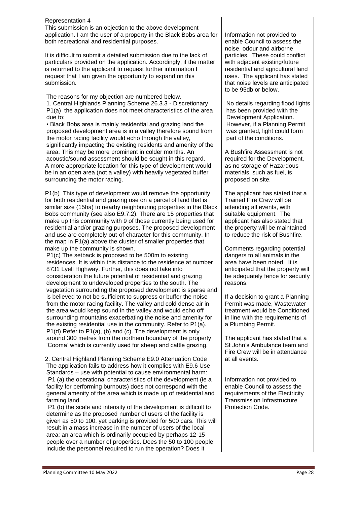#### Representation 4

This submission is an objection to the above development application. I am the user of a property in the Black Bobs area for both recreational and residential purposes.

It is difficult to submit a detailed submission due to the lack of particulars provided on the application. Accordingly, if the matter is returned to the applicant to request further information I request that I am given the opportunity to expand on this submission.

The reasons for my objection are numbered below. 1. Central Highlands Planning Scheme 26.3.3 - Discretionary P1(a) the application does not meet characteristics of the area due to:

• Black Bobs area is mainly residential and grazing land the proposed development area is in a valley therefore sound from the motor racing facility would echo through the valley, significantly impacting the existing residents and amenity of the area. This may be more prominent in colder months. An acoustic/sound assessment should be sought in this regard. A more appropriate location for this type of development would be in an open area (not a valley) with heavily vegetated buffer surrounding the motor racing.

P1(b) This type of development would remove the opportunity for both residential and grazing use on a parcel of land that is similar size (15ha) to nearby neighbouring properties in the Black Bobs community (see also E9.7.2). There are 15 properties that make up this community with 9 of those currently being used for residential and/or grazing purposes. The proposed development and use are completely out-of-character for this community. In the map in P1(a) above the cluster of smaller properties that make up the community is shown.

P1(c) The setback is proposed to be 500m to existing residences. It is within this distance to the residence at number 8731 Lyell Highway. Further, this does not take into consideration the future potential of residential and grazing development to undeveloped properties to the south. The vegetation surrounding the proposed development is sparse and is believed to not be sufficient to suppress or buffer the noise from the motor racing facility. The valley and cold dense air in the area would keep sound in the valley and would echo off surrounding mountains exacerbating the noise and amenity for the existing residential use in the community. Refer to P1(a). P1(d) Refer to P1(a), (b) and (c). The development is only around 300 metres from the northern boundary of the property 'Cooma' which is currently used for sheep and cattle grazing.

2. Central Highland Planning Scheme E9.0 Attenuation Code The application fails to address how it complies with E9.6 Use Standards – use with potential to cause environmental harm: P1 (a) the operational characteristics of the development (ie a facility for performing burnouts) does not correspond with the general amenity of the area which is made up of residential and farming land.

P1 (b) the scale and intensity of the development is difficult to determine as the proposed number of users of the facility is given as 50 to 100, yet parking is provided for 500 cars. This will result in a mass increase in the number of users of the local area; an area which is ordinarily occupied by perhaps 12-15 people over a number of properties. Does the 50 to 100 people include the personnel required to run the operation? Does it

Information not provided to enable Council to assess the noise, odour and airborne particles. These could conflict with adjacent existing/future residential and agricultural land uses. The applicant has stated that noise levels are anticipated to be 95db or below.

No details regarding flood lights has been provided with the Development Application. However, if a Planning Permit was granted, light could form part of the conditions.

A Bushfire Assessment is not required for the Development. as no storage of Hazardous materials, such as fuel, is proposed on site.

The applicant has stated that a Trained Fire Crew will be attending all events, with suitable equipment. The applicant has also stated that the property will be maintained to reduce the risk of Bushfire.

Comments regarding potential dangers to all animals in the area have been noted. It is anticipated that the property will be adequately fence for security reasons.

If a decision to grant a Planning Permit was made, Wastewater treatment would be Conditioned in line with the requirements of a Plumbing Permit.

The applicant has stated that a St John's Ambulance team and Fire Crew will be in attendance at all events.

Information not provided to enable Council to assess the requirements of the Electricity Transmission Infrastructure Protection Code.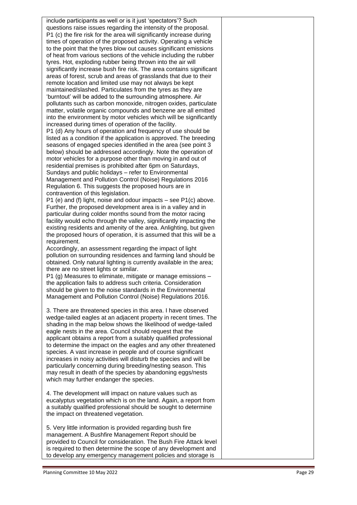include participants as well or is it just 'spectators'? Such questions raise issues regarding the intensity of the proposal. P1 (c) the fire risk for the area will significantly increase during times of operation of the proposed activity. Operating a vehicle to the point that the tyres blow out causes significant emissions of heat from various sections of the vehicle including the rubber tyres. Hot, exploding rubber being thrown into the air will significantly increase bush fire risk. The area contains significant areas of forest, scrub and areas of grasslands that due to their remote location and limited use may not always be kept maintained/slashed. Particulates from the tyres as they are 'burntout' will be added to the surrounding atmosphere. Air pollutants such as carbon monoxide, nitrogen oxides, particulate matter, volatile organic compounds and benzene are all emitted into the environment by motor vehicles which will be significantly increased during times of operation of the facility. P1 (d) Any hours of operation and frequency of use should be listed as a condition if the application is approved. The breeding seasons of engaged species identified in the area (see point 3) below) should be addressed accordingly. Note the operation of motor vehicles for a purpose other than moving in and out of residential premises is prohibited after 6pm on Saturdays, Sundays and public holidays – refer to Environmental Management and Pollution Control (Noise) Regulations 2016 Regulation 6. This suggests the proposed hours are in contravention of this legislation. P1 (e) and (f) light, noise and odour impacts – see P1(c) above. Further, the proposed development area is in a valley and in particular during colder months sound from the motor racing facility would echo through the valley, significantly impacting the existing residents and amenity of the area. Anlighting, but given the proposed hours of operation, it is assumed that this will be a requirement. Accordingly, an assessment regarding the impact of light pollution on surrounding residences and farming land should be obtained. Only natural lighting is currently available in the area; there are no street lights or similar. P1 (g) Measures to eliminate, mitigate or manage emissions – the application fails to address such criteria. Consideration should be given to the noise standards in the Environmental Management and Pollution Control (Noise) Regulations 2016. 3. There are threatened species in this area. I have observed wedge -tailed eagles at an adjacent property in recent times. The shading in the map below shows the likelihood of wedge -tailed eagle nests in the area. Council should request that the applicant obtains a report from a suitably qualified professional to determine the impact on the eagles and any other threatened species. A vast increase in people and of course significant increases in noisy activities will disturb the species and will be particularly concerning during breeding/nesting season. This may result in death of the species by abandoning eggs/nests which may further endanger the species. 4. The development will impact on nature values such as eucalyptus vegetation which is on the land. Again, a report from a suitably qualified professional should be sought to determine the impact on threatened vegetation.

5. Very little information is provided regarding bush fire management. A Bushfire Management Report should be provided to Council for consideration. The Bush Fire Attack level is required to then determine the scope of any development and to develop any emergency management policies and storage is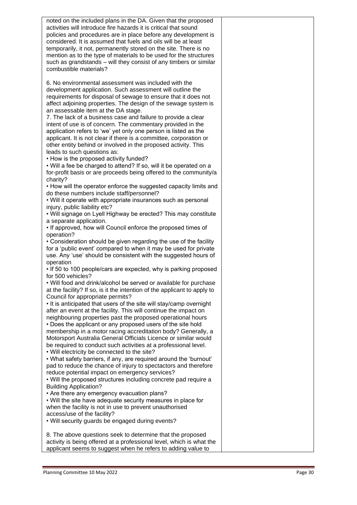| noted on the included plans in the DA. Given that the proposed<br>activities will introduce fire hazards it is critical that sound<br>policies and procedures are in place before any development is<br>considered. It is assumed that fuels and oils will be at least<br>temporarily, it not, permanently stored on the site. There is no<br>mention as to the type of materials to be used for the structures<br>such as grandstands - will they consist of any timbers or similar<br>combustible materials?                                                                                                                                                          |  |
|-------------------------------------------------------------------------------------------------------------------------------------------------------------------------------------------------------------------------------------------------------------------------------------------------------------------------------------------------------------------------------------------------------------------------------------------------------------------------------------------------------------------------------------------------------------------------------------------------------------------------------------------------------------------------|--|
| 6. No environmental assessment was included with the<br>development application. Such assessment will outline the<br>requirements for disposal of sewage to ensure that it does not<br>affect adjoining properties. The design of the sewage system is<br>an assessable item at the DA stage.<br>7. The lack of a business case and failure to provide a clear<br>intent of use is of concern. The commentary provided in the<br>application refers to 'we' yet only one person is listed as the<br>applicant. It is not clear if there is a committee, corporation or<br>other entity behind or involved in the proposed activity. This<br>leads to such questions as: |  |
| • How is the proposed activity funded?<br>. Will a fee be charged to attend? If so, will it be operated on a<br>for-profit basis or are proceeds being offered to the community/a<br>charity?                                                                                                                                                                                                                                                                                                                                                                                                                                                                           |  |
| • How will the operator enforce the suggested capacity limits and<br>do these numbers include staff/personnel?<br>. Will it operate with appropriate insurances such as personal<br>injury, public liability etc?                                                                                                                                                                                                                                                                                                                                                                                                                                                       |  |
| . Will signage on Lyell Highway be erected? This may constitute<br>a separate application.<br>• If approved, how will Council enforce the proposed times of<br>operation?                                                                                                                                                                                                                                                                                                                                                                                                                                                                                               |  |
| • Consideration should be given regarding the use of the facility<br>for a 'public event' compared to when it may be used for private<br>use. Any 'use' should be consistent with the suggested hours of<br>operation                                                                                                                                                                                                                                                                                                                                                                                                                                                   |  |
| . If 50 to 100 people/cars are expected, why is parking proposed<br>for 500 vehicles?<br>• Will food and drink/alcohol be served or available for purchase                                                                                                                                                                                                                                                                                                                                                                                                                                                                                                              |  |
| at the facility? If so, is it the intention of the applicant to apply to<br>Council for appropriate permits?<br>. It is anticipated that users of the site will stay/camp overnight<br>after an event at the facility. This will continue the impact on                                                                                                                                                                                                                                                                                                                                                                                                                 |  |
| neighbouring properties past the proposed operational hours<br>• Does the applicant or any proposed users of the site hold<br>membership in a motor racing accreditation body? Generally, a                                                                                                                                                                                                                                                                                                                                                                                                                                                                             |  |
| Motorsport Australia General Officials Licence or similar would<br>be required to conduct such activities at a professional level.<br>. Will electricity be connected to the site?<br>. What safety barriers, if any, are required around the 'burnout'                                                                                                                                                                                                                                                                                                                                                                                                                 |  |
| pad to reduce the chance of injury to spectactors and therefore<br>reduce potential impact on emergency services?<br>. Will the proposed structures including concrete pad require a<br><b>Building Application?</b>                                                                                                                                                                                                                                                                                                                                                                                                                                                    |  |
| • Are there any emergency evacuation plans?<br>. Will the site have adequate security measures in place for<br>when the facility is not in use to prevent unauthorised                                                                                                                                                                                                                                                                                                                                                                                                                                                                                                  |  |
| access/use of the facility?<br>. Will security guards be engaged during events?                                                                                                                                                                                                                                                                                                                                                                                                                                                                                                                                                                                         |  |
| 8. The above questions seek to determine that the proposed<br>activity is being offered at a professional level, which is what the<br>applicant seems to suggest when he refers to adding value to                                                                                                                                                                                                                                                                                                                                                                                                                                                                      |  |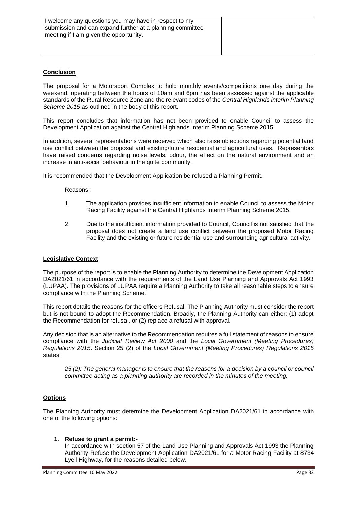#### **Conclusion**

The proposal for a Motorsport Complex to hold monthly events/competitions one day during the weekend, operating between the hours of 10am and 6pm has been assessed against the applicable standards of the Rural Resource Zone and the relevant codes of the *Central Highlands interim Planning Scheme 2015* as outlined in the body of this report.

This report concludes that information has not been provided to enable Council to assess the Development Application against the Central Highlands Interim Planning Scheme 2015.

In addition, several representations were received which also raise objections regarding potential land use conflict between the proposal and existing/future residential and agricultural uses. Representors have raised concerns regarding noise levels, odour, the effect on the natural environment and an increase in anti-social behaviour in the quite community.

It is recommended that the Development Application be refused a Planning Permit.

Reasons :-

- 1. The application provides insufficient information to enable Council to assess the Motor Racing Facility against the Central Highlands Interim Planning Scheme 2015.
- 2. Due to the insufficient information provided to Council, Council is not satisfied that the proposal does not create a land use conflict between the proposed Motor Racing Facility and the existing or future residential use and surrounding agricultural activity.

#### **Legislative Context**

The purpose of the report is to enable the Planning Authority to determine the Development Application DA2021/61 in accordance with the requirements of the Land Use Planning and Approvals Act 1993 (LUPAA). The provisions of LUPAA require a Planning Authority to take all reasonable steps to ensure compliance with the Planning Scheme.

This report details the reasons for the officers Refusal. The Planning Authority must consider the report but is not bound to adopt the Recommendation. Broadly, the Planning Authority can either: (1) adopt the Recommendation for refusal, or (2) replace a refusal with approval.

Any decision that is an alternative to the Recommendation requires a full statement of reasons to ensure compliance with the *Judicial Review Act 2000* and the *Local Government (Meeting Procedures) Regulations 2015*. Section 25 (2) of the *Local Government (Meeting Procedures) Regulations 2015* states:

25 (2): The general manager is to ensure that the reasons for a decision by a council or council *committee acting as a planning authority are recorded in the minutes of the meeting.* 

#### **Options**

The Planning Authority must determine the Development Application DA2021/61 in accordance with one of the following options:

#### **1. Refuse to grant a permit:-**

In accordance with section 57 of the Land Use Planning and Approvals Act 1993 the Planning Authority Refuse the Development Application DA2021/61 for a Motor Racing Facility at 8734 Lyell Highway, for the reasons detailed below.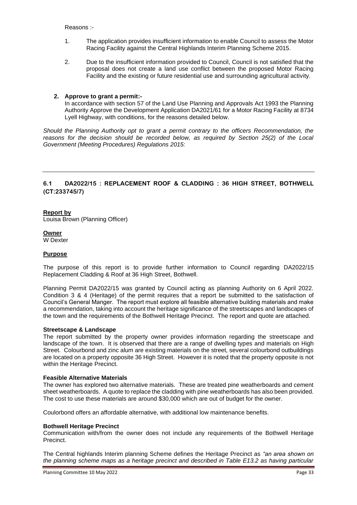Reasons :-

- 1. The application provides insufficient information to enable Council to assess the Motor Racing Facility against the Central Highlands Interim Planning Scheme 2015.
- 2. Due to the insufficient information provided to Council, Council is not satisfied that the proposal does not create a land use conflict between the proposed Motor Racing Facility and the existing or future residential use and surrounding agricultural activity.

#### **2. Approve to grant a permit:-**

In accordance with section 57 of the Land Use Planning and Approvals Act 1993 the Planning Authority Approve the Development Application DA2021/61 for a Motor Racing Facility at 8734 Lyell Highway, with conditions, for the reasons detailed below.

*Should the Planning Authority opt to grant a permit contrary to the officers Recommendation, the reasons for the decision should be recorded below, as required by Section 25(2) of the Local Government (Meeting Procedures) Regulations 2015:*

#### **6.1 DA2022/15 : REPLACEMENT ROOF & CLADDING : 36 HIGH STREET, BOTHWELL (CT:233745/7)**

#### **Report by**

Louisa Brown (Planning Officer)

#### **Owner**

W Dexter

#### **Purpose**

The purpose of this report is to provide further information to Council regarding DA2022/15 Replacement Cladding & Roof at 36 High Street, Bothwell.

Planning Permit DA2022/15 was granted by Council acting as planning Authority on 6 April 2022. Condition 3 & 4 (Heritage) of the permit requires that a report be submitted to the satisfaction of Council's General Manger. The report must explore all feasible alternative building materials and make a recommendation, taking into account the heritage significance of the streetscapes and landscapes of the town and the requirements of the Bothwell Heritage Precinct. The report and quote are attached.

#### **Streetscape & Landscape**

The report submitted by the property owner provides information regarding the streetscape and landscape of the town. It is observed that there are a range of dwelling types and materials on High Street. Colourbond and zinc alum are existing materials on the street, several colourbond outbuildings are located on a property opposite 36 High Street. However it is noted that the property opposite is not within the Heritage Precinct.

#### **Feasible Alternative Materials**

The owner has explored two alternative materials. These are treated pine weatherboards and cement sheet weatherboards. A quote to replace the cladding with pine weatherboards has also been provided. The cost to use these materials are around \$30,000 which are out of budget for the owner.

Coulorbond offers an affordable alternative, with additional low maintenance benefits.

#### **Bothwell Heritage Precinct**

Communication with/from the owner does not include any requirements of the Bothwell Heritage Precinct.

The Central highlands Interim planning Scheme defines the Heritage Precinct as *"an area shown on the planning scheme maps as a heritage precinct and described in Table E13.2 as having particular*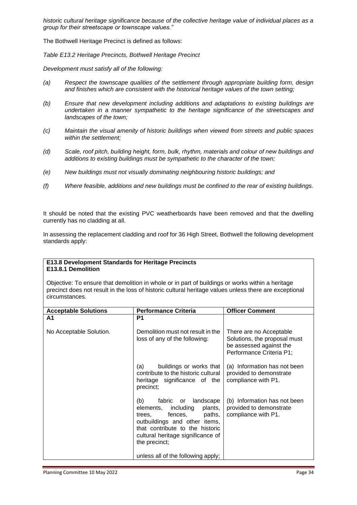*historic cultural heritage significance because of the collective heritage value of individual places as a group for their streetscape or townscape values."*

The Bothwell Heritage Precinct is defined as follows:

*Table E13.2 Heritage Precincts, Bothwell Heritage Precinct*

*Development must satisfy all of the following:*

- *(a) Respect the townscape qualities of the settlement through appropriate building form, design and finishes which are consistent with the historical heritage values of the town setting;*
- *(b) Ensure that new development including additions and adaptations to existing buildings are undertaken in a manner sympathetic to the heritage significance of the streetscapes and landscapes of the town;*
- *(c) Maintain the visual amenity of historic buildings when viewed from streets and public spaces within the settlement;*
- *(d) Scale, roof pitch, building height, form, bulk, rhythm, materials and colour of new buildings and additions to existing buildings must be sympathetic to the character of the town;*
- *(e) New buildings must not visually dominating neighbouring historic buildings; and*
- *(f) Where feasible, additions and new buildings must be confined to the rear of existing buildings.*

It should be noted that the existing PVC weatherboards have been removed and that the dwelling currently has no cladding at all.

In assessing the replacement cladding and roof for 36 High Street, Bothwell the following development standards apply:

#### **E13.8 Development Standards for Heritage Precincts E13.8.1 Demolition**

Objective: To ensure that demolition in whole or in part of buildings or works within a heritage precinct does not result in the loss of historic cultural heritage values unless there are exceptional circumstances.

| <b>Acceptable Solutions</b> | <b>Performance Criteria</b>                                                                                                                                                                                                    | <b>Officer Comment</b>                                                                                         |
|-----------------------------|--------------------------------------------------------------------------------------------------------------------------------------------------------------------------------------------------------------------------------|----------------------------------------------------------------------------------------------------------------|
| A1                          | P1                                                                                                                                                                                                                             |                                                                                                                |
| No Acceptable Solution.     | Demolition must not result in the<br>loss of any of the following:                                                                                                                                                             | There are no Acceptable<br>Solutions, the proposal must<br>be assessed against the<br>Performance Criteria P1; |
|                             | buildings or works that<br>(a)<br>contribute to the historic cultural<br>heritage significance of the<br>precinct:                                                                                                             | (a) Information has not been<br>provided to demonstrate<br>compliance with P1.                                 |
|                             | (b)<br>landscape<br>fabric<br>or<br>including<br>plants,<br>elements,<br>paths,<br>fences.<br>trees.<br>outbuildings and other items,<br>that contribute to the historic<br>cultural heritage significance of<br>the precinct; | (b) Information has not been<br>provided to demonstrate<br>compliance with P1.                                 |
|                             | unless all of the following apply;                                                                                                                                                                                             |                                                                                                                |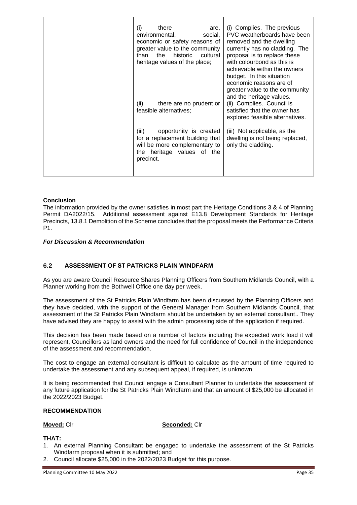| (i)<br>there<br>are,<br>environmental,<br>social,<br>economic or safety reasons of<br>greater value to the community<br>the<br>cultural<br>than<br>historic<br>heritage values of the place; | (i) Complies. The previous<br>PVC weatherboards have been<br>removed and the dwelling<br>currently has no cladding. The<br>proposal is to replace these<br>with colourbond as this is<br>achievable within the owners<br>budget. In this situation<br>economic reasons are of<br>greater value to the community |
|----------------------------------------------------------------------------------------------------------------------------------------------------------------------------------------------|-----------------------------------------------------------------------------------------------------------------------------------------------------------------------------------------------------------------------------------------------------------------------------------------------------------------|
| (ii)<br>there are no prudent or<br>feasible alternatives;                                                                                                                                    | and the heritage values.<br>(ii) Complies. Council is<br>satisfied that the owner has<br>explored feasible alternatives.                                                                                                                                                                                        |
| opportunity is created<br>(iii)<br>for a replacement building that<br>will be more complementary to<br>the heritage values of the<br>precinct.                                               | (iii) Not applicable, as the<br>dwelling is not being replaced,<br>only the cladding.                                                                                                                                                                                                                           |

#### **Conclusion**

The information provided by the owner satisfies in most part the Heritage Conditions 3 & 4 of Planning Permit DA2022/15. Additional assessment against E13.8 Development Standards for Heritage Precincts, 13.8.1 Demolition of the Scheme concludes that the proposal meets the Performance Criteria P1.

#### *For Discussion & Recommendation*

#### **6.2 ASSESSMENT OF ST PATRICKS PLAIN WINDFARM**

As you are aware Council Resource Shares Planning Officers from Southern Midlands Council, with a Planner working from the Bothwell Office one day per week.

The assessment of the St Patricks Plain Windfarm has been discussed by the Planning Officers and they have decided, with the support of the General Manager from Southern Midlands Council, that assessment of the St Patricks Plain Windfarm should be undertaken by an external consultant.. They have advised they are happy to assist with the admin processing side of the application if required.

This decision has been made based on a number of factors including the expected work load it will represent, Councillors as land owners and the need for full confidence of Council in the independence of the assessment and recommendation.

The cost to engage an external consultant is difficult to calculate as the amount of time required to undertake the assessment and any subsequent appeal, if required, is unknown.

It is being recommended that Council engage a Consultant Planner to undertake the assessment of any future application for the St Patricks Plain Windfarm and that an amount of \$25,000 be allocated in the 2022/2023 Budget.

#### **RECOMMENDATION**

#### **Moved:** Clr **Seconded:** Clr

#### **THAT:**

- 1. An external Planning Consultant be engaged to undertake the assessment of the St Patricks Windfarm proposal when it is submitted; and
- 2. Council allocate \$25,000 in the 2022/2023 Budget for this purpose.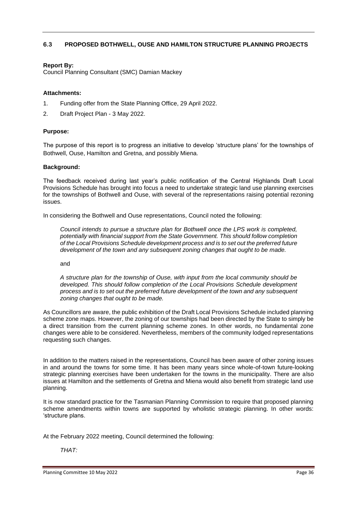#### **6.3 PROPOSED BOTHWELL, OUSE AND HAMILTON STRUCTURE PLANNING PROJECTS**

#### **Report By:**

Council Planning Consultant (SMC) Damian Mackey

#### **Attachments:**

- 1. Funding offer from the State Planning Office, 29 April 2022.
- 2. Draft Project Plan 3 May 2022.

#### **Purpose:**

The purpose of this report is to progress an initiative to develop 'structure plans' for the townships of Bothwell, Ouse, Hamilton and Gretna, and possibly Miena.

#### **Background:**

The feedback received during last year's public notification of the Central Highlands Draft Local Provisions Schedule has brought into focus a need to undertake strategic land use planning exercises for the townships of Bothwell and Ouse, with several of the representations raising potential rezoning issues.

In considering the Bothwell and Ouse representations, Council noted the following:

*Council intends to pursue a structure plan for Bothwell once the LPS work is completed, potentially with financial support from the State Government. This should follow completion of the Local Provisions Schedule development process and is to set out the preferred future development of the town and any subsequent zoning changes that ought to be made.*

and

*A structure plan for the township of Ouse, with input from the local community should be developed. This should follow completion of the Local Provisions Schedule development process and is to set out the preferred future development of the town and any subsequent zoning changes that ought to be made.*

As Councillors are aware, the public exhibition of the Draft Local Provisions Schedule included planning scheme zone maps. However, the zoning of our townships had been directed by the State to simply be a direct transition from the current planning scheme zones. In other words, no fundamental zone changes were able to be considered. Nevertheless, members of the community lodged representations requesting such changes.

In addition to the matters raised in the representations, Council has been aware of other zoning issues in and around the towns for some time. It has been many years since whole-of-town future-looking strategic planning exercises have been undertaken for the towns in the municipality. There are also issues at Hamilton and the settlements of Gretna and Miena would also benefit from strategic land use planning.

It is now standard practice for the Tasmanian Planning Commission to require that proposed planning scheme amendments within towns are supported by wholistic strategic planning. In other words: 'structure plans.

At the February 2022 meeting, Council determined the following:

#### *THAT:*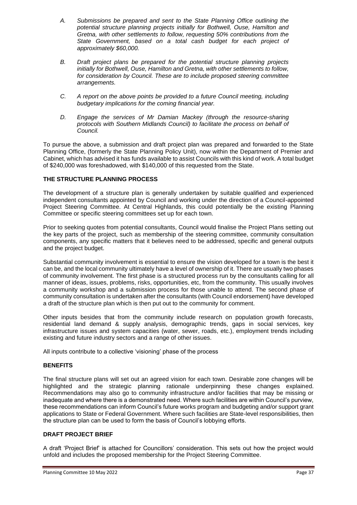- *A. Submissions be prepared and sent to the State Planning Office outlining the potential structure planning projects initially for Bothwell, Ouse, Hamilton and Gretna, with other settlements to follow, requesting 50% contributions from the State Government, based on a total cash budget for each project of approximately \$60,000.*
- *B. Draft project plans be prepared for the potential structure planning projects initially for Bothwell, Ouse, Hamilton and Gretna, with other settlements to follow, for consideration by Council. These are to include proposed steering committee arrangements.*
- *C. A report on the above points be provided to a future Council meeting, including budgetary implications for the coming financial year.*
- *D. Engage the services of Mr Damian Mackey (through the resource-sharing protocols with Southern Midlands Council) to facilitate the process on behalf of Council.*

To pursue the above, a submission and draft project plan was prepared and forwarded to the State Planning Office, (formerly the State Planning Policy Unit), now within the Department of Premier and Cabinet, which has advised it has funds available to assist Councils with this kind of work. A total budget of \$240,000 was foreshadowed, with \$140,000 of this requested from the State.

#### **THE STRUCTURE PLANNING PROCESS**

The development of a structure plan is generally undertaken by suitable qualified and experienced independent consultants appointed by Council and working under the direction of a Council-appointed Project Steering Committee. At Central Highlands, this could potentially be the existing Planning Committee or specific steering committees set up for each town.

Prior to seeking quotes from potential consultants, Council would finalise the Project Plans setting out the key parts of the project, such as membership of the steering committee, community consultation components, any specific matters that it believes need to be addressed, specific and general outputs and the project budget.

Substantial community involvement is essential to ensure the vision developed for a town is the best it can be, and the local community ultimately have a level of ownership of it. There are usually two phases of community involvement. The first phase is a structured process run by the consultants calling for all manner of ideas, issues, problems, risks, opportunities, etc, from the community. This usually involves a community workshop and a submission process for those unable to attend. The second phase of community consultation is undertaken after the consultants (with Council endorsement) have developed a draft of the structure plan which is then put out to the community for comment.

Other inputs besides that from the community include research on population growth forecasts, residential land demand & supply analysis, demographic trends, gaps in social services, key infrastructure issues and system capacities (water, sewer, roads, etc.), employment trends including existing and future industry sectors and a range of other issues.

All inputs contribute to a collective 'visioning' phase of the process

#### **BENEFITS**

The final structure plans will set out an agreed vision for each town. Desirable zone changes will be highlighted and the strategic planning rationale underpinning these changes explained. Recommendations may also go to community infrastructure and/or facilities that may be missing or inadequate and where there is a demonstrated need. Where such facilities are within Council's purview, these recommendations can inform Council's future works program and budgeting and/or support grant applications to State or Federal Government. Where such facilities are State-level responsibilities, then the structure plan can be used to form the basis of Council's lobbying efforts.

#### **DRAFT PROJECT BRIEF**

A draft 'Project Brief' is attached for Councillors' consideration. This sets out how the project would unfold and includes the proposed membership for the Project Steering Committee.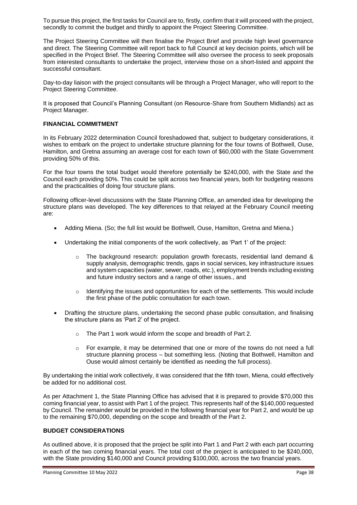To pursue this project, the first tasks for Council are to, firstly, confirm that it will proceed with the project, secondly to commit the budget and thirdly to appoint the Project Steering Committee.

The Project Steering Committee will then finalise the Project Brief and provide high level governance and direct. The Steering Committee will report back to full Council at key decision points, which will be specified in the Project Brief. The Steering Committee will also oversee the process to seek proposals from interested consultants to undertake the project, interview those on a short-listed and appoint the successful consultant.

Day-to-day liaison with the project consultants will be through a Project Manager, who will report to the Project Steering Committee.

It is proposed that Council's Planning Consultant (on Resource-Share from Southern Midlands) act as Project Manager.

#### **FINANCIAL COMMITMENT**

In its February 2022 determination Council foreshadowed that, subject to budgetary considerations, it wishes to embark on the project to undertake structure planning for the four towns of Bothwell, Ouse, Hamilton, and Gretna assuming an average cost for each town of \$60,000 with the State Government providing 50% of this.

For the four towns the total budget would therefore potentially be \$240,000, with the State and the Council each providing 50%. This could be split across two financial years, both for budgeting reasons and the practicalities of doing four structure plans.

Following officer-level discussions with the State Planning Office, an amended idea for developing the structure plans was developed. The key differences to that relayed at the February Council meeting are:

- Adding Miena. (So; the full list would be Bothwell, Ouse, Hamilton, Gretna and Miena.)
- Undertaking the initial components of the work collectively, as 'Part 1' of the project:
	- $\circ$  The background research: population growth forecasts, residential land demand & supply analysis, demographic trends, gaps in social services, key infrastructure issues and system capacities (water, sewer, roads, etc.), employment trends including existing and future industry sectors and a range of other issues., and
	- $\circ$  Identifying the issues and opportunities for each of the settlements. This would include the first phase of the public consultation for each town.
- Drafting the structure plans, undertaking the second phase public consultation, and finalising the structure plans as 'Part 2' of the project.
	- o The Part 1 work would inform the scope and breadth of Part 2.
	- $\circ$  For example, it may be determined that one or more of the towns do not need a full structure planning process – but something less. (Noting that Bothwell, Hamilton and Ouse would almost certainly be identified as needing the full process).

By undertaking the initial work collectively, it was considered that the fifth town, Miena, could effectively be added for no additional cost.

As per Attachment 1, the State Planning Office has advised that it is prepared to provide \$70,000 this coming financial year, to assist with Part 1 of the project. This represents half of the \$140,000 requested by Council. The remainder would be provided in the following financial year for Part 2, and would be up to the remaining \$70,000, depending on the scope and breadth of the Part 2.

#### **BUDGET CONSIDERATIONS**

As outlined above, it is proposed that the project be split into Part 1 and Part 2 with each part occurring in each of the two coming financial years. The total cost of the project is anticipated to be \$240,000, with the State providing \$140,000 and Council providing \$100,000, across the two financial years.